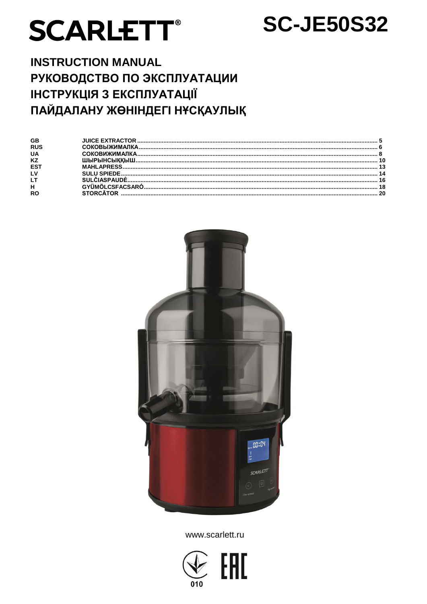# **SCARLETT®**

# **SC-JE50S32**

# **INSTRUCTION MANUAL** РУКОВОДСТВО ПО ЭКСПЛУАТАЦИИ **ІНСТРУКЦІЯ З ЕКСПЛУАТАЦІЇ** ПАЙДАЛАНУ ЖӨНІНДЕГІ НҰСҚАУЛЫҚ

| GB         |  |
|------------|--|
| <b>RUS</b> |  |
| <b>UA</b>  |  |
| <b>KZ</b>  |  |
| ES.        |  |
|            |  |
|            |  |
| н          |  |
| RC         |  |



www.scarlett.ru

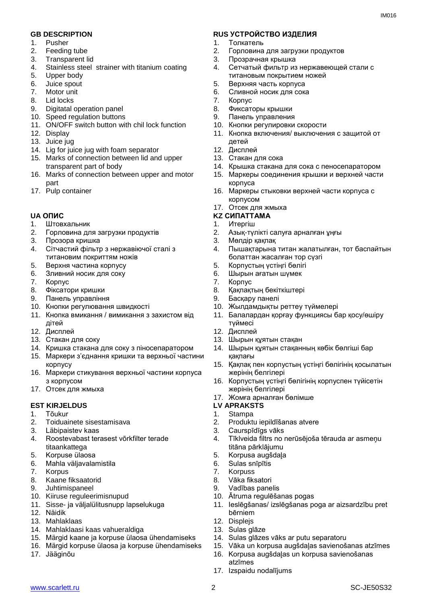- 1. Pusher
- 2. Feeding tube
- 3. Transparent lid
- 4. Stainless steel strainer with titanium coating
- Upper body
- 6. Juice spout
- 7. Motor unit
- 8. Lid locks
- 9. Digitatal operation panel
- 10. Speed regulation buttons
- 11. ON/OFF switch button with chil lock function
- 12. Display
- 13. Juice jug
- 14. Lig for juice jug with foam separator
- 15. Marks of connection between lid and upper transparent part of body
- 16. Marks of connection between upper and motor part
- 17. Pulp container

- 1. Штовхальник
- 2. Горловина для загрузки продуктів
- 3. Прозора кришка
- 4. Сітчастий фільтр з нержавіючої сталі з титановим покриттям ножів
- 5. Верхня частина корпусу
- 6. Зливний носик для соку
- 7. Корпус
- 8. Фіксатори кришки
- 9. Панель управління
- 10. Кнопки регулювання швидкості
- 11. Кнопка вмикання / вимикання з захистом від дітей
- 12. Дисплей
- 13. Стакан для соку
- 14. Кришка стакана для соку з піносепаратором
- 15. Маркери з'єднання кришки та верхньої частини корпусу
- 16. Маркери стикування верхньої частини корпуса з корпусом
- 17. Отсек для жмыха

#### **EST KIRJELDUS**

- 1. Tõukur
- 2. Toiduainete sisestamisava
- 3. Läbipaistev kaas
- 4. Roostevabast terasest võrkfilter terade titaankattega
- 5. Korpuse ülaosa
- 6. Mahla väljavalamistila
- 7. Korpus<br>8. Kaane
- 8. Kaane fiksaatorid
- 9. Juhtimispaneel
- 10. Kiiruse reguleerimisnupud
- 11. Sisse- ja väljalülitusnupp lapselukuga
- 12. Näidik
- 13. Mahlaklaas
- 14. Mahlaklaasi kaas vahueraldiga
- 15. Märgid kaane ja korpuse ülaosa ühendamiseks
- 16. Märgid korpuse ülaosa ja korpuse ühendamiseks
- 17. Jääginõu

#### **GB DESCRIPTION RUS УСТРОЙСТВО ИЗДЕЛИЯ**

- 1. Толкатель
- 2. Горловина для загрузки продуктов
- 3. Прозрачная крышка
- 4. Сетчатый фильтр из нержавеющей стали с титановым покрытием ножей
- 5. Верхняя часть корпуса
- 6. Сливной носик для сока
- 7. Корпус
- 8. Фиксаторы крышки
- 9. Панель управления
- 10. Кнопки регулировки скорости
- 11. Кнопка включения/ выключения с защитой от детей
- 12. Дисплей
- 13. Стакан для сока
- 14. Крышка стакана для сока с пеносепаратором
- 15. Маркеры соединения крышки и верхней части корпуса
- 16. Маркеры стыковки верхней части корпуса с корпусом
- 17. Отсек для жмыха

#### **UA ОПИС KZ СИПАТТАМА**

- 1. Итергіш
- 2. Азық-түлікті салуға арналған ұңғы
- 3. Мөлдір қақпақ
- 4. Пышақтарына титан жалатылған, тот баспайтын болаттан жасалған тор сүзгі
- 5. Корпустың үстіңгі бөлігі
- 6. Шырын ағатын шүмек
- 7. Корпус
- 8. Қақпақтың бекіткіштері
- 9. Басқару панелі
- 10. Жылдамдықты реттеу түймелері
- 11. Балалардан қорғау функциясы бар қосу/өшіру түймесі
- 12. Дисплей
- 13. Шырын құятын стақан
- 14. Шырын құятын стақанның көбік бөлгіші бар қақпағы
- 15. Қақпақ пен корпустың үстіңгі бөлігінің қосылатын жерінің белгілері
- 16. Корпустың үстіңгі бөлігінің корпуспен түйісетін жерінің белгілері
- 17. Жомға арналған бөлімше<br>LV APRAKSTS
- 
- 1. Stampa
- 2. Produktu iepildīšanas atvere

10. Ātruma regulēšanas pogas

14. Sulas glāzes vāks ar putu separatoru

- 3. Caurspīdīgs vāks
- 4. Tīklveida filtrs no nerūsējoša tērauda ar asmeņu titāna pārklājumu

11. Ieslēgšanas/ izslēgšanas poga ar aizsardzību pret

15. Vāka un korpusa augšdaļas savienošanas atzīmes 16. Korpusa augšdaļas un korpusa savienošanas

- 5. Korpusa augšdaļa
- 6. Sulas snīpītis
- 7. Korpuss

www.scarlett.ru 2 SC-JE50S32

8. Vāka fiksatori 9. Vadības panelis

bērniem 12. Displejs 13. Sulas glāze

atzīmes 17. Izspaidu nodalījums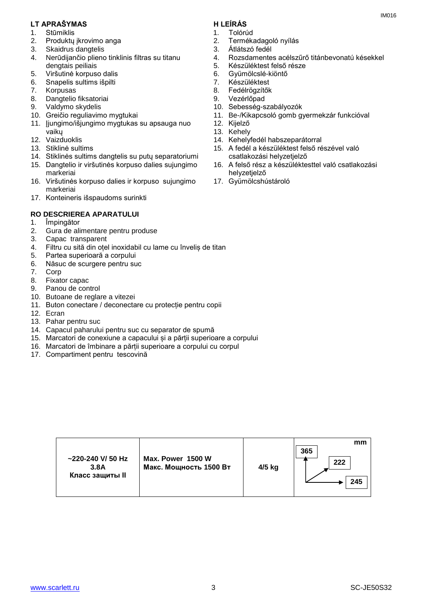#### **LT APRAŠYMAS H LEÍRÁS**

- 1. Stūmiklis
- 2. Produktų įkrovimo anga
- 3. Skaidrus dangtelis
- 4. Nerūdijančio plieno tinklinis filtras su titanu dengtais peiliais
- 5. Viršutinė korpuso dalis
- 6. Snapelis sultims išpilti
- 7. Korpusas
- 8. Dangtelio fiksatoriai
- 9. Valdymo skydelis
- 10. Greičio reguliavimo mygtukai
- 11. Įjungimo/išjungimo mygtukas su apsauga nuo vaikų
- 12. Vaizduoklis
- 13. Stiklinė sultims
- 14. Stiklinės sultims dangtelis su putų separatoriumi
- 15. Dangtelio ir viršutinės korpuso dalies sujungimo markeriai
- 16. Viršutinės korpuso dalies ir korpuso sujungimo markeriai
- 17. Konteineris išspaudoms surinkti

## **RO DESCRIEREA APARATULUI**

- 1. Împingător
- 2. Gura de alimentare pentru produse
- 3. Capac transparent
- 4. Filtru cu sită din oțel inoxidabil cu lame cu înveliș de titan
- 5. Partea superioară a corpului
- 6. Năsuc de scurgere pentru suc
- 7. Corp
- 8. Fixator capac
- 9. Panou de control
- 10. Butoane de reglare a vitezei
- 11. Buton conectare / deconectare cu protecție pentru copii
- 12. Ecran
- 13. Pahar pentru suc
- 14. Capacul paharului pentru suc cu separator de spumă
- 15. Marcatori de conexiune a capacului și a părții superioare a corpului
- 16. Marcatori de îmbinare a părții superioare a corpului cu corpul
- 17. Compartiment pentru tescovină
- 1. Tolórúd
- 2. Termékadagoló nyílás
- 3. Átlátszó fedél
- 4. Rozsdamentes acélszűrő titánbevonatú késekkel

IM016

- 5. Készüléktest felső része
- 6. Gyümölcslé-kiöntő
- 7. Készüléktest
- 8. Fedélrögzítők
- 9. Vezérlőpad
- 10. Sebesség-szabályozók
- 11. Be-/Kikapcsoló gomb gyermekzár funkcióval
- 12. Kijelző
- 13. Kehely
- 14. Kehelyfedél habszeparátorral
- 15. A fedél a készüléktest felső részével való csatlakozási helyzetjelző
- 16. A felső rész a készüléktesttel való csatlakozási helyzetjelző
- 17. Gyümölcshústároló

| $\sim$ 220-240 V/ 50 Hz<br>3.8A<br>Класс защиты II | Max. Power 1500 W<br>Макс. Мощность 1500 Вт | 4/5 kg | mm<br>365<br>222<br>245 |
|----------------------------------------------------|---------------------------------------------|--------|-------------------------|
|----------------------------------------------------|---------------------------------------------|--------|-------------------------|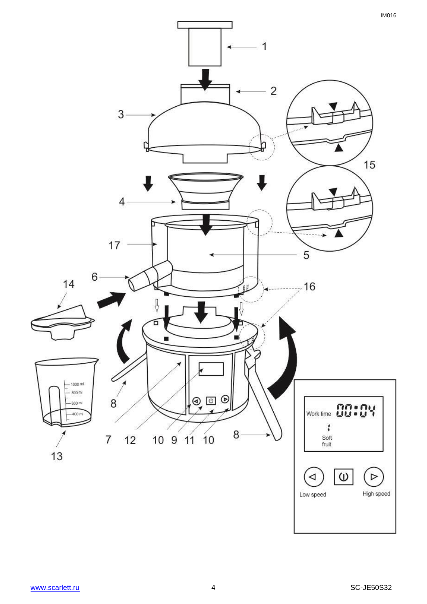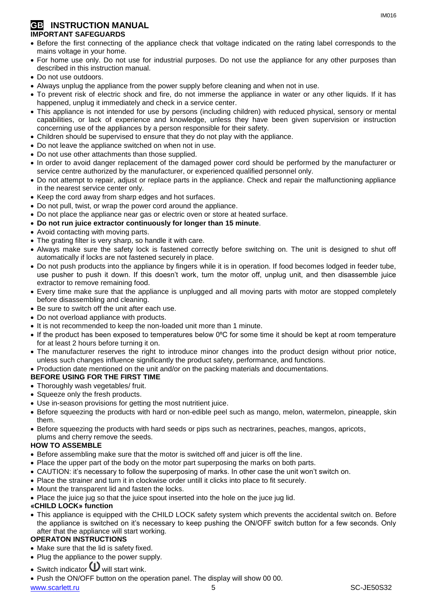#### **GB INSTRUCTION MANUAL IMPORTANT SAFEGUARDS**

- Before the first connecting of the appliance check that voltage indicated on the rating label corresponds to the mains voltage in your home.
- For home use only. Do not use for industrial purposes. Do not use the appliance for any other purposes than described in this instruction manual.
- Do not use outdoors.
- Always unplug the appliance from the power supply before cleaning and when not in use.
- To prevent risk of electric shock and fire, do not immerse the appliance in water or any other liquids. If it has happened, unplug it immediately and check in a service center.
- This appliance is not intended for use by persons (including children) with reduced physical, sensory or mental capabilities, or lack of experience and knowledge, unless they have been given supervision or instruction concerning use of the appliances by a person responsible for their safety.
- Children should be supervised to ensure that they do not play with the appliance.
- Do not leave the appliance switched on when not in use.
- Do not use other attachments than those supplied.
- In order to avoid danger replacement of the damaged power cord should be performed by the manufacturer or service centre authorized by the manufacturer, or experienced qualified personnel only.
- Do not attempt to repair, adjust or replace parts in the appliance. Check and repair the malfunctioning appliance in the nearest service center only.
- Keep the cord away from sharp edges and hot surfaces.
- Do not pull, twist, or wrap the power cord around the appliance.
- Do not place the appliance near gas or electric oven or store at heated surface.
- **Do not run juice extractor continuously for longer than 15 minute**.
- Avoid contacting with moving parts.
- The grating filter is very sharp, so handle it with care.
- Always make sure the safety lock is fastened correctly before switching on. The unit is designed to shut off automatically if locks are not fastened securely in place.
- Do not push products into the appliance by fingers while it is in operation. If food becomes lodged in feeder tube, use pusher to push it down. If this doesn't work, turn the motor off, unplug unit, and then disassemble juice extractor to remove remaining food.
- Every time make sure that the appliance is unplugged and all moving parts with motor are stopped completely before disassembling and cleaning.
- Be sure to switch off the unit after each use.
- Do not overload appliance with products.
- It is not recommended to keep the non-loaded unit more than 1 minute.
- If the product has been exposed to temperatures below 0ºC for some time it should be kept at room temperature for at least 2 hours before turning it on.
- The manufacturer reserves the right to introduce minor changes into the product design without prior notice, unless such changes influence significantly the product safety, performance, and functions.
- Production date mentioned on the unit and/or on the packing materials and documentations.

#### **BEFORE USING FOR THE FIRST TIME**

- Thoroughly wash vegetables/ fruit.
- Squeeze only the fresh products.
- Use in-season provisions for getting the most nutritient juice.
- Before squeezing the products with hard or non-edible peel such as mango, melon, watermelon, pineapple, skin them.
- Before squeezing the products with hard seeds or pips such as nectrarines, peaches, mangos, apricots, plums and cherry remove the seeds.

#### **HOW TO ASSEMBLE**

- Before assembling make sure that the motor is switched off and juicer is off the line.
- Place the upper part of the body on the motor part superposing the marks on both parts.
- CAUTION: it's necessary to follow the superposing of marks. In other case the unit won't switch on.
- Place the strainer and turn it in clockwise order untill it clicks into place to fit securely.
- Mount the transparent lid and fasten the locks.
- Place the juice jug so that the juice spout inserted into the hole on the juce jug lid.

#### **«CHILD LOCK» function**

 This appliance is equipped with the CHILD LOCK safety system which prevents the accidental switch on. Before the appliance is switched on it's necessary to keep pushing the ON/OFF switch button for a few seconds. Only after that the appliance will start working.

#### **OPERATON INSTRUCTIONS**

- Make sure that the lid is safety fixed.
- Plug the appliance to the power supply.
- Switch indicator  $\mathbf 0$  will start wink.
- Push the ON/OFF button on the operation panel. The display will show 00 00.

#### www.scarlett.ru 5 SC-JE50S32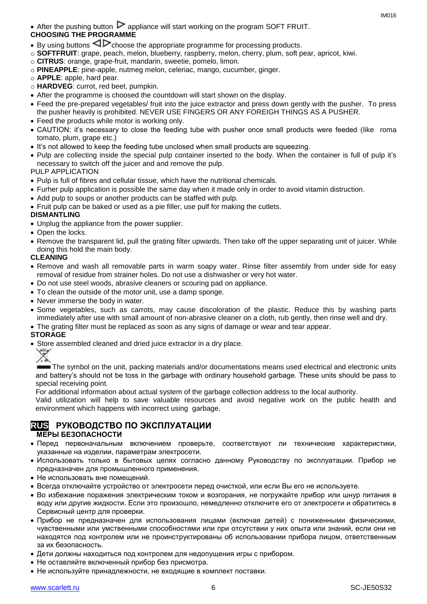• After the pushing button  $\triangleright$  appliance will start working on the program SOFT FRUIT. **CHOOSING THE PROGRAMME**

- By using buttons  $\triangleleft\triangleright$  choose the appropriate programme for processing products.
- o **SOFTFRUIT**: grape, peach, melon, blueberry, raspberry, melon, cherry, plum, soft pear, apricot, kiwi.
- o **CITRUS**: orange, grape-fruit, mandarin, sweetie, pomelo, limon.
- o **PINEAPPLE**: pine-apple, nutmeg melon, celeriac, mango, cucumber, ginger.
- o **APPLE**: apple, hard pear.
- o **HARDVEG**: currot, red beet, pumpkin.
- After the programme is choosed the countdown will start shown on the display.
- Feed the pre-prepared vegetables/ fruit into the juice extractor and press down gently with the pusher. To press the pusher heavily is prohibited. NEVER USE FINGERS OR ANY FOREIGH THINGS AS A PUSHER.
- Feed the products while motor is working only.
- CAUTION: it's necessary to close the feeding tube with pusher once small products were feeded (like roma tomato, plum, grape etc.)
- It's not allowed to keep the feeding tube unclosed when small products are squeezing.
- Pulp are collecting inside the special pulp container inserted to the body. When the container is full of pulp it's necessary to switch off the juicer and and remove the pulp.

### PULP APPLICATION

- Pulp is full of fibres and cellular tissue, which have the nutritional chemicals.
- Furher pulp application is possible the same day when it made only in order to avoid vitamin distruction.
- Add pulp to soups or another products can be staffed with pulp.
- Fruit pulp can be baked or used as a pie filler, use pulf for making the cutlets.

### **DISMANTLING**

- Unplug the appliance from the power supplier.
- Open the locks.
- Remove the transparent lid, pull the grating filter upwards. Then take off the upper separating unit of juicer. While doing this hold the main body.

#### **CLEANING**

- Remove and wash all removable parts in warm soapy water. Rinse filter assembly from under side for easy removal of residue from strainer holes. Do not use a dishwasher or very hot water.
- Do not use steel woods, abrasive cleaners or scouring pad on appliance.
- To clean the outside of the motor unit, use a damp sponge.
- Never immerse the body in water.
- Some vegetables, such as carrots, may cause discoloration of the plastic. Reduce this by washing parts immediately after use with small amount of non-abrasive cleaner on a cloth, rub gently, then rinse well and dry.
- The grating filter must be replaced as soon as any signs of damage or wear and tear appear.

#### **STORAGE**

• Store assembled cleaned and dried juice extractor in a dry place.



The symbol on the unit, packing materials and/or documentations means used electrical and electronic units and battery's should not be toss in the garbage with ordinary household garbage. These units should be pass to special receiving point.

For additional information about actual system of the garbage collection address to the local authority.

Valid utilization will help to save valuable resources and avoid negative work on the public health and environment which happens with incorrect using garbage.

## **RUS РУКОВОДСТВО ПО ЭКСПЛУАТАЦИИ**

#### **МЕРЫ БЕЗОПАСНОСТИ**

- Перед первоначальным включением проверьте, соответствуют ли технические характеристики, указанные на изделии, параметрам электросети.
- Использовать только в бытовых целях согласно данному Руководству по эксплуатации. Прибор не предназначен для промышленного применения.
- Не использовать вне помешений.
- Всегда отключайте устройство от электросети перед очисткой, или если Вы его не используете.
- Во избежание поражения электрическим током и возгорания, не погружайте прибор или шнур питания в воду или другие жидкости. Если это произошло, немедленно отключите его от электросети и обратитесь в Сервисный центр для проверки.
- Прибор не предназначен для использования лицами (включая детей) с пониженными физическими, чувственными или умственными способностями или при отсутствии у них опыта или знаний, если они не находятся под контролем или не проинструктированы об использовании прибора лицом, ответственным за их безопасность.
- Дети должны находиться под контролем для недопущения игры с прибором.
- Не оставляйте включенный прибор без присмотра.
- Не используйте принадлежности, не входящие в комплект поставки.

IM016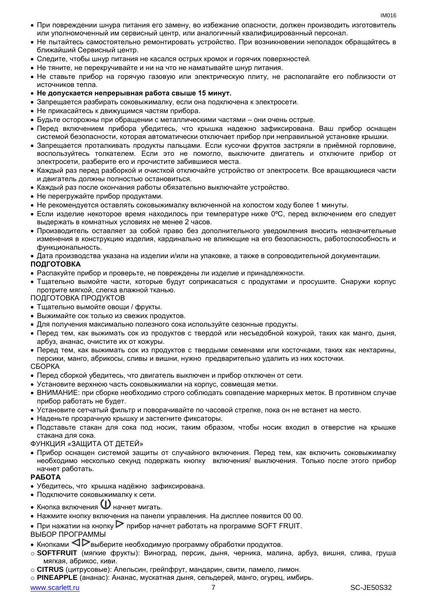- При повреждении шнура питания его замену, во избежание опасности, должен производить изготовитель или уполномоченный им сервисный центр, или аналогичный квалифицированный персонал.
- Не пытайтесь самостоятельно ремонтировать устройство. При возникновении неполадок обращайтесь в ближайший Сервисный центр.
- Следите, чтобы шнур питания не касался острых кромок и горячих поверхностей.
- Не тяните, не перекручивайте и ни на что не наматывайте шнур питания.
- Не ставьте прибор на горячую газовую или электрическую плиту, не располагайте его поблизости от источников тепла.
- **Не допускается непрерывная работа свыше 15 минут.**
- Запрещается разбирать соковыжималку, если она подключена к электросети.
- Не прикасайтесь к движущимся частям прибора.
- Будьте осторожны при обращении с металлическими частями они очень острые.
- Перед включением прибора убедитесь, что крышка надежно зафиксирована. Ваш прибор оснащен системой безопасности, которая автоматически отключает прибор при неправильной установке крышки.
- Запрещается проталкивать продукты пальцами. Если кусочки фруктов застряли в приёмной горловине, воспользуйтесь толкателем. Если это не помогло, выключите двигатель и отключите прибор от электросети, разберите его и прочистите забившиеся места.
- Каждый раз перед разборкой и очисткой отключайте устройство от электросети. Все вращающиеся части и двигатель должны полностью остановиться.
- Каждый раз после окончания работы обязательно выключайте устройство.
- Не перегружайте прибор продуктами.
- Не рекомендуется оставлять соковыжималку включенной на холостом ходу более 1 минуты.
- $\bullet$  Если изделие некоторое время находилось при температуре ниже 0°С, перед включением его следует выдержать в комнатных условиях не менее 2 часов.
- Производитель оставляет за собой право без дополнительного уведомления вносить незначительные изменения в конструкцию изделия, кардинально не влияющие на его безопасность, работоспособность и функциональность.
- Дата производства указана на изделии и/или на упаковке, а также в сопроводительной документации. **ПОДГОТОВКА**
- Распакуйте прибор и проверьте, не повреждены ли изделие и принадлежности.
- Тщательно вымойте части, которые будут соприкасаться с продуктами и просушите. Снаружи корпус протрите мягкой, слегка влажной тканью.

#### ПОДГОТОВКА ПРОДУКТОВ

- Тщательно вымойте овощи / фрукты.
- Выжимайте сок только из свежих продуктов.
- Для получения максимально полезного сока используйте сезонные продукты.
- Перед тем, как выжимать сок из продуктов с твердой или несъедобной кожурой, таких как манго, дыня, арбуз, ананас, очистите их от кожуры.
- Перед тем, как выжимать сок из продуктов с твердыми семенами или косточками, таких как нектарины, персики, манго, абрикосы, сливы и вишни, нужно предварительно удалить из них косточки. СБОРКА
- Перед сборкой убедитесь, что двигатель выключен и прибор отключен от сети.
- Установите верхнюю часть соковыжималки на корпус, совмещая метки.
- ВНИМАНИЕ: при сборке необходимо строго соблюдать совпадение маркерных меток. В противном случае прибор работать не будет.
- Установите сетчатый фильтр и поворачивайте по часовой стрелке, пока он не встанет на место.
- Наденьте прозрачную крышку и застегните фиксаторы.
- Подставьте стакан для сока под носик, таким образом, чтобы носик входил в отверстие на крышке стакана для сока.
- ФУНКЦИЯ «ЗАЩИТА ОТ ДЕТЕЙ»
- Прибор оснащен системой защиты от случайного включения. Перед тем, как включить соковыжималку необходимо несколько секунд подержать кнопку включения/ выключения. Только после этого прибор начнет работать.

#### **РАБОТА**

- Убедитесь, что крышка надёжно зафиксирована.
- Подключите соковыжималку к сети.
- $\bullet$  Кнопка включения  $\mathbf U$  начнет мигать.
- Нажмите кнопку включения на панели управления. На дисплее появится 00 00.
- При нажатии на кнопку  $\triangleright$  прибор начнет работать на программе SOFT FRUIT.

#### ВЫБОР ПРОГРАММЫ

- Кнопками  $\triangleleft\mathcal{P}_{\mathsf{B}}$ ыберите необходимую программу обработки продуктов.
- o **SOFTFRUIT** (мягкие фрукты): Виноград, персик, дыня, черника, малина, арбуз, вишня, слива, груша мягкая, абрикос, киви.
- o **CITRUS** (цитрусовые): Апельсин, грейпфрут, мандарин, свити, памело, лимон.
- o **PINEAPPLE** (ананас): Ананас, мускатная дыня, сельдерей, манго, огурец, имбирь.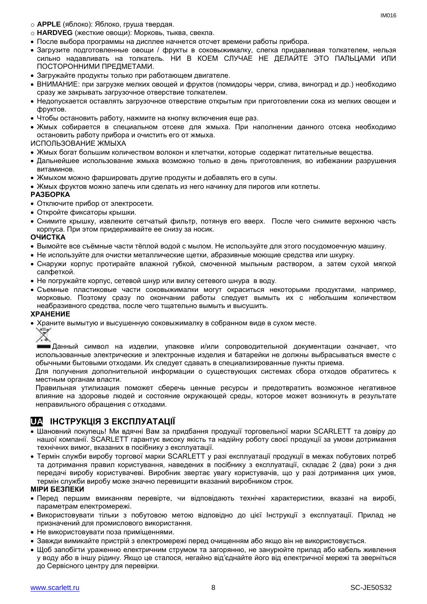o **APPLE** (яблоко): Яблоко, груша твердая.

- o **HARDVEG** (жесткие овощи): Морковь, тыква, свекла.
- После выбора программы на дисплее начнется отсчет времени работы прибора.
- Загрузите подготовленные овощи / фрукты в соковыжималку, слегка придавливая толкателем, нельзя сильно надавливать на толкатель. НИ В КОЕМ СЛУЧАЕ НЕ ДЕЛАЙТЕ ЭТО ПАЛЬЦАМИ ИЛИ ПОСТОРОННИМИ ПРЕДМЕТАМИ.
- Загружайте продукты только при работающем двигателе.
- ВНИМАНИЕ: при загрузке мелких овощей и фруктов (помидоры черри, слива, виноград и др.) необходимо сразу же закрывать загрузочное отверствие толкателем.
- Недопускается оставлять загрузочное отверствие открытым при приготовлении сока из мелких овощеи и фруктов.
- Чтобы остановить работу, нажмите на кнопку включения еще раз.
- Жмых собирается в специальном отсеке для жмыха. При наполнении данного отсека необходимо остановить работу прибора и очистить его от жмыха.

ИСПОЛЬЗОВАНИЕ ЖМЫХА

- Жмых богат большим количеством волокон и клетчатки, которые содержат питательные вещества.
- Дальнейшее использование жмыха возможно только в день приготовления, во избежании разрушения витаминов.
- Жмыхом можно фаршировать другие продукты и добавлять его в супы.
- Жмых фруктов можно запечь или сделать из него начинку для пирогов или котлеты.

#### **РАЗБОРКА**

- Отключите прибор от электросети.
- Откройте фиксаторы крышки.
- Снимите крышку, извлеките сетчатый фильтр, потянув его вверх. После чего снимите верхнюю часть корпуса. При этом придерживайте ее снизу за носик.

#### **ОЧИСТКА**

- Вымойте все съёмные части тёплой водой с мылом. Не используйте для этого посудомоечную машину.
- Не используйте для очистки металлические щетки, абразивные моющие средства или шкурку.
- Снаружи корпус протирайте влажной губкой, смоченной мыльным раствором, а затем сухой мягкой салфеткой.
- Не погружайте корпус, сетевой шнур или вилку сетевого шнура в воду.
- Съемные пластиковые части соковыжималки могут окраситься некоторыми продуктами, например, морковью. Поэтому сразу по окончании работы следует вымыть их с небольшим количеством неабразивного средства, после чего тщательно вымыть и высушить.

#### **ХРАНЕНИЕ**

Храните вымытую и высушенную соковыжималку в собранном виде в сухом месте.

Данный символ на изделии, упаковке и/или сопроводительной документации означает, что использованные электрические и электронные изделия и батарейки не должны выбрасываться вместе с обычными бытовыми отходами. Их следует сдавать в специализированные пункты приема.

Для получения дополнительной информации о существующих системах сбора отходов обратитесь к местным органам власти.

Правильная утилизация поможет сберечь ценные ресурсы и предотвратить возможное негативное влияние на здоровье людей и состояние окружающей среды, которое может возникнуть в результате неправильного обращения с отходами.

## **UA ІНСТРУКЦІЯ З ЕКСПЛУАТАЦІЇ**

- Шановний покупець! Ми вдячні Вам за придбання продукції торговельної марки SCARLETT та довіру до нашої компанії. SCARLETT гарантує високу якість та надійну роботу своєї продукції за умови дотримання технічних вимог, вказаних в посібнику з експлуатації.
- Термін служби виробу торгової марки SCARLETT у разі експлуатації продукції в межах побутових потреб та дотримання правил користування, наведених в посібнику з експлуатації, складає 2 (два) роки з дня передачі виробу користувачеві. Виробник звертає увагу користувачів, що у разі дотримання цих умов, термін служби виробу може значно перевищити вказаний виробником строк.

#### **МІРИ БЕЗПЕКИ**

- Перед першим вмиканням перевірте, чи відповідають технічні характеристики, вказані на виробі, параметрам електромережі.
- Використовувати тільки з побутовою метою відповідно до цієї Інструкції з експлуатації. Прилад не призначений для промислового використання.
- Не використовувати поза приміщеннями.
- Завжди вимикайте пристрій з електромережі перед очищенням або якщо він не використовується.
- Щоб запобігти ураженню електричним струмом та загорянню, не занурюйте прилад або кабель живлення у воду або в іншу рідину. Якщо це сталося, негайно від'єднайте його від електричної мережі та зверніться до Сервісного центру для перевірки.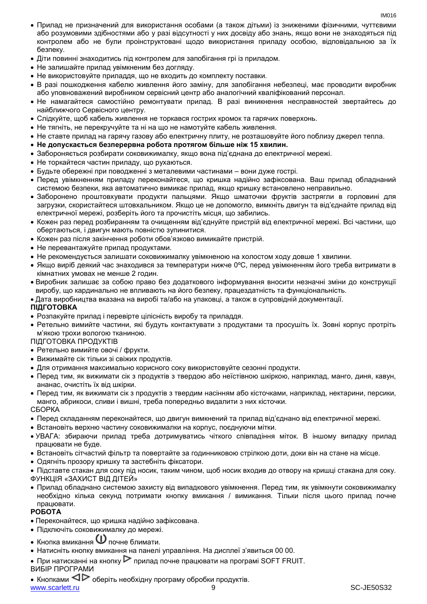- Прилад не призначений для використання особами (а також дітьми) із зниженими фізичними, чуттєвими або розумовими здібностями або у разі відсутності у них досвіду або знань, якщо вони не знаходяться під контролем або не були проінструктовані щодо використання приладу особою, відповідальною за їх безпеку.
- Діти повинні знаходитись під контролем для запобігання грі із приладом.
- Не залишайте прилад увімкненим без догляду.
- Не використовуйте приладдя, що не входить до комплекту поставки.
- В разі пошкодження кабелю живлення його заміну, для запобігання небезпеці, має проводити виробник або уповноважений виробником сервісний центр або аналогічний кваліфікований персонал.
- Не намагайтеся самостійно ремонтувати прилад. В разі виникнення несправностей звертайтесь до найближчого Сервісного центру.
- Слідкуйте, щоб кабель живлення не торкався гострих кромок та гарячих поверхонь.
- Не тягніть, не перекручуйте та ні на що не намотуйте кабель живлення.
- Не ставте прилад на гарячу газову або електричну плиту, не розташовуйте його поблизу джерел тепла.
- **Не допускається безперервна робота протягом більше ніж 15 хвилин.**
- Забороняється розбирати соковижималку, якщо вона під'єднана до електричної мережі.
- Не торкайтеся частин приладу, що рухаються.
- Будьте обережні при поводженні з металевими частинами вони дуже гострі.
- Перед увімкненням приладу переконайтеся, що кришка надійно зафіксована. Ваш прилад обладнаний системою безпеки, яка автоматично вимикає прилад, якщо кришку встановлено неправильно.
- Заборонено проштовхувати продукти пальцями. Якщо шматочки фруктів застрягли в горловині для загрузки, скористайтеся штовхальником. Якщо це не допомогло, вимкніть двигун та від'єднайте прилад від електричної мережі, розберіть його та прочистіть місця, що забились.
- Кожен раз перед розбиранням та очищенням від'єднуйте пристрій від електричної мережі. Всі частини, що обертаються, і двигун мають повністю зупинитися.
- Кожен раз після закінчення роботи обов'язково вимикайте пристрій.
- Не перевантажуйте прилад продуктами.
- Не рекомендується залишати соковижималку увімкненою на холостом ходу довше 1 хвилини.
- Якщо виріб деякий час знаходився за температури нижче 0ºC, перед увімкненням його треба витримати в кімнатних умовах не менше 2 годин.
- Виробник залишає за собою право без додаткового інформування вносити незначні зміни до конструкції виробу, що кардинально не впливають на його безпеку, працездатність та функціональність.

Дата виробництва вказана на виробі та/або на упаковці, а також в супровідній документації.

#### **ПІДГОТОВКА**

- Розпакуйте прилад і перевірте цілісність виробу та приладдя.
- Ретельно вимийте частини, які будуть контактувати з продуктами та просушіть їх. Зовні корпус протріть м'якою трохи вологою тканиною.

#### ПІДГОТОВКА ПРОДУКТІВ

- Ретельно вимийте овочі / фрукти.
- Вижимайте сік тільки зі свіжих продуктів.
- Для отримання максимально корисного соку використовуйте сезонні продукти.
- Перед тим, як вижимати сік з продуктів з твердою або неїстівною шкіркою, наприклад, манго, диня, кавун, ананас, очистіть їх від шкірки.
- Перед тим, як вижимати сік з продуктів з твердим насінням або кісточками, наприклад, нектарини, персики, манго, абрикоси, сливи і вишні, треба попередньо видалити з них кісточки.

#### СБОРКА

- Перед складанням переконайтеся, що двигун вимкнений та прилад від'єднано від електричної мережі.
- Встановіть верхню частину соковижималки на корпус, поєднуючи мітки.
- УВАГА: збираючи прилад треба дотримуватись чіткого співпадіння міток. В іншому випадку прилад працювати не буде.
- Встановіть сітчастий фільтр та повертайте за годинниковою стрілкою доти, доки він на стане на місце.
- Одягніть прозору кришку та застебніть фіксатори.

 Підставте стакан для соку під носик, таким чином, щоб носик входив до отвору на кришці стакана для соку. ФУНКЦІЯ «ЗАХИСТ ВІД ДІТЕЙ»

 Прилад обладнано системою захисту від випадкового увімкнення. Перед тим, як увімкнути соковижималку необхідно кілька секунд потримати кнопку вмикання / вимикання. Тільки після цього прилад почне працювати.

#### **РОБОТА**

- Переконайтеся, що кришка надійно зафіксована.
- Підключіть соковижималку до мережі.
- Кнопка вмикання почне блимати.
- Натисніть кнопку вмикання на панелі управління. На дисплеї з'явиться 00 00.
- При натисканні на кнопку  $\triangleright$  прилад почне працювати на програмі SOFT FRUIT.

ВИБІР ПРОГРАМИ

www.scarlett.ru 3 November 2012 12:00 13:00 13:00 13:00 13:00 14:00 14:00 14:00 14:00 14:00 14:00 14:00 14:00 14:00 14:00 14:00 14:00 14:00 14:00 14:00 14:00 14:00 14:00 14:00 14:00 14:00 14:00 14:00 14:00 14:00 14:00 14:0 • Кнопками  $\triangleleft$  Оберіть необхідну програму обробки продуктів.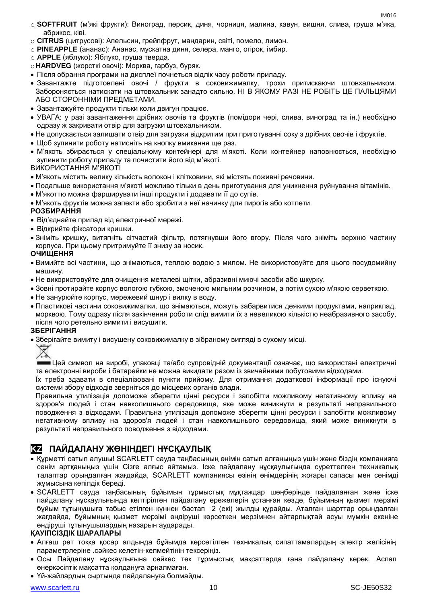IM016

- o **SOFTFRUIT** (м'які фрукти): Виноград, персик, диня, чорниця, малина, кавун, вишня, слива, груша м'яка, абрикос, ківі.
- o **CITRUS** (цитрусові): Апельсин, грейпфрут, мандарин, світі, помело, лимон.
- o **PINEAPPLE** (ананас): Ананас, мускатна диня, селера, манго, огірок, імбир.
- o **APPLE** (яблуко): Яблуко, груша тверда.
- o**HARDVEG** (жорсткі овочі): Морква, гарбуз, буряк.
- Після обрання програми на дисплеї почнеться відлік часу роботи приладу.
- Завантажте підготовлені овочі / фрукти в соковижималку, трохи притискаючи штовхальником. Забороняється натискати на штовхальник занадто сильно. НІ В ЯКОМУ РАЗІ НЕ РОБІТЬ ЦЕ ПАЛЬЦЯМИ АБО СТОРОННІМИ ПРЕДМЕТАМИ.
- Завантажуйте продукти тільки коли двигун працює.
- УВАГА: у разі завантаження дрібних овочів та фруктів (помідори чері, слива, виноград та ін.) необхідно одразу ж закривати отвір для загрузки штовхальником.
- Не допускається залишати отвір для загрузки відкритим при приготуванні соку з дрібних овочів і фруктів.
- Шоб зупинити роботу натисніть на кнопку вмикання ще раз.
- М'якоть збирається у спеціальному контейнері для м'якоті. Коли контейнер наповнюється, необхідно зупинити роботу приладу та почистити його від м'якоті.

ВИКОРИСТАННЯ М'ЯКОТІ

- М'якоть містить велику кількість волокон і клітковини, які містять поживні речовини.
- Подальше використання м'якоті можливо тільки в день приготування для уникнення руйнування вітамінів.
- М'якоттю можна фарширувати інші продукти і додавати її до супів.
- М'якоть фруктів можна запекти або зробити з неї начинку для пирогів або котлети.

#### **РОЗБИРАННЯ**

- Від'єднайте прилад від електричної мережі.
- Відкрийте фіксатори кришки.
- Зніміть кришку, витягніть сітчастий фільтр, потягнувши його вгору. Після чого зніміть верхню частину корпуса. При цьому притримуйте її знизу за носик.

#### **ОЧИЩЕННЯ**

- Вимийте всі частини, що знімаються, теплою водою з милом. Не використовуйте для цього посудомийну машину.
- Не використовуйте для очищення металеві щітки, абразивні миючі засоби або шкурку.
- Зовні протирайте корпус вологою губкою, змоченою мильним розчином, а потім сухою м'якою серветкою.
- Не занурюйте корпус, мережевий шнур і вилку в воду.
- Пластикові частини соковижималки, що знімаються, можуть забарвитися деякими продуктами, наприклад, морквою. Тому одразу після закінчення роботи слід вимити їх з невеликою кількістю неабразивного засобу, після чого ретельно вимити і висушити.

#### **ЗБЕРІГАННЯ**

Зберігайте вимиту і висушену соковижималку в зібраному вигляді в сухому місці.



Цей символ на виробі, упаковці та/або супровідній документації означає, що використані електричні та електронні вироби і батарейки не можна викидати разом із звичайними побутовими відходами.

Їх треба здавати в спеціалізовані пункти прийому. Для отримання додаткової інформації про існуючі системи збору відходів зверніться до місцевих органів влади.

Правильна утилізація допоможе зберегти цінні ресурси і запобігти можливому негативному впливу на здоров'я людей і стан навколишнього середовища, яке може виникнути в результаті неправильного поводження з відходами. Правильна утилізація допоможе зберегти цінні ресурси і запобігти можливому негативному впливу на здоров'я людей і стан навколишнього середовища, який може виникнути в результаті неправильного поводження з відходами.

## **KZ ПАЙДАЛАНУ ЖӨНІНДЕГІ НҰСҚАУЛЫҚ**

- Құрметті сатып алушы! SCARLETT сауда таңбасының өнімін сатып алғаныңыз үшін және біздің компанияға сенім артқаныңыз үшін Сізге алғыс айтамыз. Іске пайдалану нұсқаулығында суреттелген техникалық талаптар орындалған жағдайда, SCARLETT компаниясы өзінің өнімдерінің жоғары сапасы мен сенімді жұмысына кепілдік береді.
- SCARLETT сауда таңбасының бұйымын тұрмыстық мұқтаждар шеңберінде пайдаланған және іске пайдалану нұсқаулығында келтірілген пайдалану ережелерін ұстанған кезде, бұйымның қызмет мерзімі бұйым тұтынушыға табыс етілген күннен бастап 2 (екі) жылды құрайды. Аталған шарттар орындалған жағдайда, бұйымның қызмет мерзімі өндіруші көрсеткен мерзімнен айтарлықтай асуы мүмкін екеніне өндіруші тұтынушылардың назарын аударады.

#### **ҚАУІПСІЗДІК ШАРАЛАРЫ**

- Алғаш рет тоққа қосар алдында бұйымда көрсетілген техникалық сипаттамалардың электр желісінің параметрлеріне .сәйкес келетін-келмейтінін тексеріңіз.
- Осы Пайдалану нұсқаулығына сәйкес тек тұрмыстық мақсаттарда ғана пайдалану керек. Аспап өнеркәсіптік мақсатта қолдануға арналмаған.
- Үй-жайлардың сыртында пайдалануға болмайды.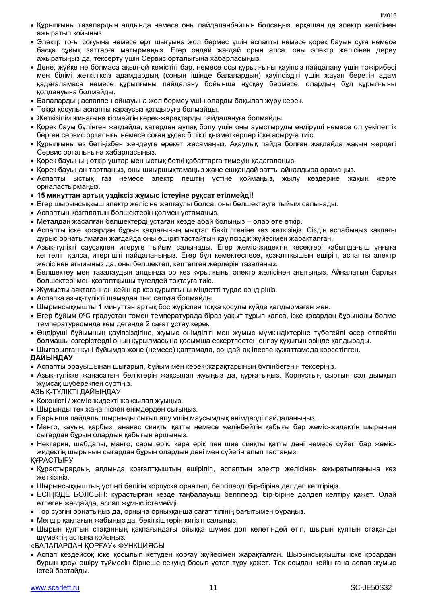- Құрылғыны тазалардың алдында немесе оны пайдаланбайтын болсаңыз, әрқашан да электр желісінен ажыратып қойыңыз.
- Электр тоғы соғуына немесе өрт шығуына жол бермес үшін аспапты немесе қорек бауын суға немесе басқа сұйық заттарға матырмаңыз. Егер ондай жағдай орын алса, оны электр желісінен дереу ажыратыңыз да, тексерту үшін Сервис орталығына хабарласыңыз.
- Дене, жүйке не болмаса ақыл-ой кемістігі бар, немесе осы құрылғыны қауіпсіз пайдалану үшін тәжірибесі мен білімі жеткіліксіз адамдардың (соның ішінде балалардың) қауіпсіздігі үшін жауап беретін адам қадағаламаса немесе құрылғыны пайдалану бойынша нұсқау бермесе, олардың бұл құрылғыны қолдануына болмайды.
- Балалардың аспаппен ойнауына жол бермеу үшін оларды бақылап жүру керек.
- Тоққа қосулы аспапты қараусыз қалдыруға болмайды.
- Жеткізілім жинағына кірмейтін керек-жарақтарды пайдалануға болмайды.
- Қорек бауы бүлінген жағдайда, қатерден аулақ болу үшін оны ауыстыруды өндіруші немесе ол уәкілеттік берген сервис орталығы немесе соған ұқсас білікті қызметкерлер іске асыруға тиіс.
- Құрылғыны өз бетіңізбен жөндеуге әрекет жасамаңыз. Ақаулық пайда болған жағдайда жақын жердегі Сервис орталығына хабарласыңыз.
- Қорек бауының өткір ұштар мен ыстық беткі қабаттарға тимеуін қадағалаңыз.
- Қорек бауынан тартпаңыз, оны шиыршықтамаңыз және ешқандай затты айналдыра орамаңыз.
- Аспапты ыстық газ немесе электр пештің үстіне қоймаңыз, жылу көздеріне жақын жерге орналастырмаңыз.

#### **15 минуттан артық үздіксіз жұмыс істеуіне рұқсат етілмейді!**

- Егер шырынсыққыш злектр желісіне жалғаулы болса, оны бөлшектеуге тыйым салынады.
- Аспаптың қозғалатын бөлшектерін қолмен ұстамаңыз.
- Металдан жасалған бөлшектерді ұстаған кезде абай болыңыз олар өте өткір.
- Аспапты іске қосардан бұрын қақпағының мықтап бекітілгеніне көз жеткізіңіз. Сіздің аспабыңыз қақпағы дұрыс орнатылмаған жағдайда оны өшіріп тастайтын қауіпсіздік жүйесімен жарақталған.
- Азық-түлікті саусақпен итеруге тыйым салынады. Егер жеміс-жидектің кесектері қабылдағыш ұңғыға кептеліп қалса, итергішті пайдаланыңыз. Егер бұл көмектеспесе, қозғалтқышын өшіріп, аспапты электр желісінен ағыиыңыз да, оны бөлшектеп, кептелген жерлерін тазалаңыз.
- Бөлшектеу мен тазалаудың алдында әр кез құрылғыны электр желісінен ағытыңыз. Айналатын барлық бөлшектері мен қозғалтқышы түгелдей тоқтауға тиіс.
- Жұмысты аяқтағаннан кейін әр кез құрылғыны міндетті түрде сөндіріңіз.
- Аспапқа азық-түлікті шамадан тыс салуға болмайды.
- Шырынсыққышты 1 минуттан артық бос жүріспен тоққа қосулы күйде қалдырмаған жөн.
- Егер бұйым 0ºC градустан төмен температурада біраз уақыт тұрып қалса, іске қосардан бұрыноны бөлме температурасында кем дегенде 2 сағат ұстау керек.
- Өндіруші бұйымның қауіпсіздігіне, жұмыс өнімділігі мен жұмыс мүмкіндіктеріне түбегейлі әсер етпейтін болмашы өзгерістерді оның құрылмасына қосымша ескертпестен енгізу құқығын өзінде қалдырады.
- Шығарылған күні бұйымда және (немесе) қаптамада, сондай-ақ ілеспе құжаттамада көрсетілген.

#### **ДАЙЫНДАУ**

- Аспапты орауышынан шығарып, бұйым мен керек-жарақтарының бүлінбегенін тексеріңіз.
- Азық-түлікке жанасатын бөліктерін жақсылап жуыңыз да, құрғатыңыз. Корпустың сыртын сәл дымқыл жұмсақ шүберекпен сүртіңіз.

АЗЫҚ-ТҮЛІКТІ ДАЙЫНДАУ

- Көкөністі / жеміс-жидекті жақсылап жуыңыз.
- Шырынды тек жаңа піскен өнімдерден сығыңыз.
- Барынша пайдалы шырынды сығып алу үшін маусымдық өнімдерді пайдаланыңыз.
- Манго, қауын, қарбыз, ананас сияқты қатты немесе желінбейтін қабығы бар жеміс-жидектің шырынын сығардан бұрын олардың қабығын аршыңыз.
- Нектарин, шабдалы, манго, сары өрік, қара өрік пен шие сияқты қатты дәні немесе сүйегі бар жемісжидектің шырынын сығардан бұрын олардың дәні мен сүйегін алып тастаңыз.

#### ҚҰРАСТЫРУ

- Құрастырардың алдында қозғалтқыштың өшіріліп, аспаптың электр желісінен ажыратылғанына көз жеткізіңіз.
- Шырынсыққыштың үстіңгі бөлігін корпусқа орнатып, белгілерді бір-біріне дәлдеп келтіріңіз.
- ЕСІҢІЗДЕ БОЛСЫН: құрастырған кезде таңбалауыш белгілерді бір-біріне дәлдеп келтіру қажет. Олай етпеген жағдайда, аспап жұмыс істемейді.
- Тор сүзгіні орнатыңыз да, орнына орныққанша сағат тілінің бағытымен бұраңыз.
- Мөлдір қақпағын жабыңыз да, бекіткіштерін кигізіп салыңыз.
- Шырын құятын стақанның қақпағындағы ойыққа шүмек дәл келетіндей етіп, шырын құятын стақанды шүмектің астына қойыңыз.

«БАЛАЛАРДАН ҚОРҒАУ» ФУНКЦИЯСЫ

 Аспап кездейсоқ іске қосылып кетуден қорғау жүйесімен жарақталған. Шырынсыққышты іске қосардан бұрын қосу/ өшіру түймесін бірнеше секунд басып ұстап тұру қажет. Тек осыдан кейін ғана аспап жұмыс істей бастайды.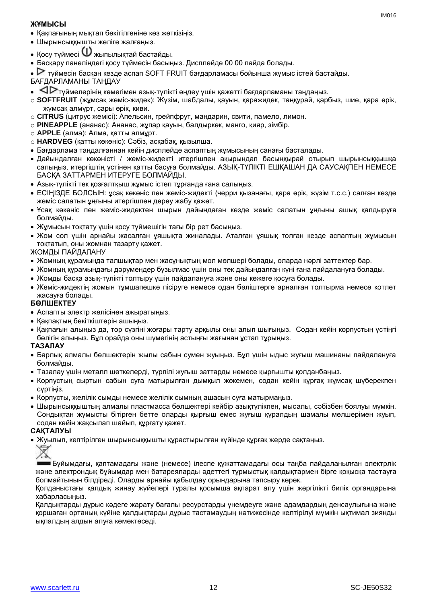#### **ЖҰМЫСЫ**

- Қақпағының мықтап бекітілгеніне көз жеткізіңіз.
- Шырынсыққышты желіге жалғаңыз.
- $\bullet$  Косу түймесі  $\mathbf 0$ жыпылықтай бастайды.
- Басқару панеліндегі қосу түймесін басыңыз. Дисплейде 00 00 пайда болады.
- түймесін басқан кезде аспап SOFT FRUIT бағдарламасы бойынша жұмыс істей бастайды.
- БАҒДАРЛАМАНЫ ТАҢДАУ
- түймелерінің көмегімен азық-түлікті өңдеу үшін қажетті бағдарламаны таңдаңыз.
- o **SOFTFRUIT** (жұмсақ жеміс-жидек): Жүзім, шабдалы, қауын, қаражидек, таңқурай, қарбыз, шие, қара өрік, жұмсақ алмұрт, сары өрік, киви.
- o **CITRUS** (цитрус жемісі): Апельсин, грейпфрут, мандарин, свити, памело, лимон.
- o **PINEAPPLE** (ананас): Ананас, жұпар қауын, балдыркөк, манго, қияр, зімбір.
- o **APPLE** (алма): Алма, қатты алмұрт.
- o **HARDVEG** (қатты көкөніс): Сәбіз, асқабақ, қызылша.
- Бағдарлама таңдалғаннан кейін дисплейде аспаптың жұмысының санағы басталады.
- Дайындалған көкөністі / жеміс-жидекті итергішпен ақырындап басыңқырай отырып шырынсыққышқа салыңыз, итергіштің үстінен қатты басуға болмайды. АЗЫҚ-ТҮЛІКТІ ЕШҚАШАН ДА САУСАҚПЕН НЕМЕСЕ БАСҚА ЗАТТАРМЕН ИТЕРУГЕ БОЛМАЙДЫ.
- Азық-түлікті тек қозғалтқыш жұмыс істеп тұрғанда ғана салыңыз.
- ЕСІҢІЗДЕ БОЛСЫН: ұсақ көкөніс пен жеміс-жидекті (черри қызанағы, қара өрік, жүзім т.с.с.) салған кезде жеміс салатын ұңғыны итергішпен дереу жабу қажет.
- Ұсақ көкөніс пен жеміс-жидектен шырын дайындаған кезде жеміс салатын ұңғыны ашық қалдыруға болмайды.
- Жұмысын тоқтату үшін қосу түймешігін тағы бір рет басыңыз.
- Жом сол үшін арнайы жасалған ұяшықта жиналады. Аталған ұяшық толған кезде аспаптың жұмысын тоқтатып, оны жомнан тазарту қажет.

#### ЖОМДЫ ПАЙДАЛАНУ

- Жомның құрамында талшықтар мен жасұнықтың мол мөлшері болады, оларда нәрлі заттектер бар.
- Жомның құрамындағы дәрумендер бұзылмас үшін оны тек дайындалған күні ғана пайдалануға болады.
- Жомды басқа азық-түлікті толтыру үшін пайдалануға және оны көжеге қосуға болады.
- Жеміс-жидектің жомын тұмшапешке пісіруге немесе одан бәліштерге арналған толтырма немесе котлет жасауға болады.

#### **БӨЛШЕКТЕУ**

- Аспапты электр желісінен ажыратыңыз.
- Какпактын бекіткіштерін ашыныз.
- Қақпағын алыңыз да, тор сүзгіні жоғары тарту арқылы оны алып шығыңыз. Содан кейін корпустың үстіңгі бөлігін алыңыз. Бұл орайда оны шүмегінің астыңғы жағынан ұстап тұрыңыз.

#### **ТАЗАЛАУ**

- Барлық алмалы бөлшектерін жылы сабын сумен жуыңыз. Бұл үшін ыдыс жуғыш машинаны пайдалануға болмайды.
- Тазалау үшін металл шөткелерді, түрпілі жуғыш заттарды немесе қырғышты қолданбаңыз.
- Корпустың сыртын сабын суға матырылған дымқыл жөкемен, содан кейін құрғақ жұмсақ шүберекпен сүртіңіз.
- Корпусты, желілік сымды немесе желілік сымның ашасын суға матырмаңыз.
- Шырынсыққыштың алмалы пластмасса бөлшектері кейбір азықтүлікпен, мысалы, сәбізбен боялуы мүмкін. Сондықтан жұмысты бітірген бетте оларды қырғыш емес жуғыш құралдың шамалы мөлшерімен жуып, содан кейін жақсылап шайып, құрғату қажет.

#### **САҚТАЛУЫ**

Жуылып, кептірілген шырынсыққышты құрастырылған күйінде құрғақ жерде сақтаңыз.



Бұйымдағы, қаптамадағы және (немесе) ілеспе құжаттамадағы осы таңба пайдаланылған электрлік және электрондық бұйымдар мен батареяларды әдеттегі тұрмыстық қалдықтармен бірге қоқысқа тастауға болмайтынын білдіреді. Оларды арнайы қабылдау орындарына тапсыру керек.

Қолданыстағы қалдық жинау жүйелері туралы қосымша ақпарат алу үшін жергілікті билік органдарына хабарласыңыз.

Қалдықтарды дұрыс кәдеге жарату бағалы ресурстарды үнемдеуге және адамдардың денсаулығына және қоршаған ортаның күйіне қалдықтарды дұрыс тастамаудың нәтижесінде келтірілуі мүмкін ықтимал зиянды ықпалдың алдын алуға көмектеседі.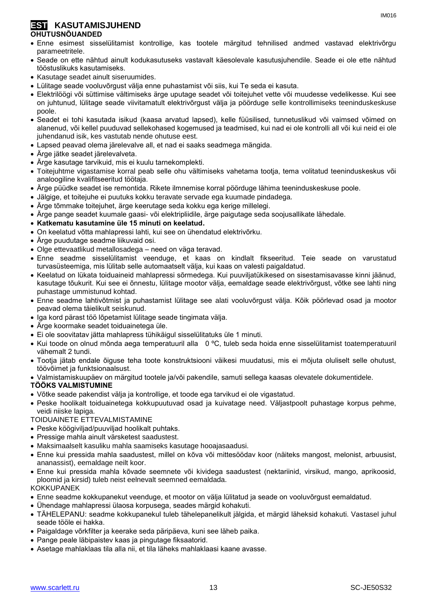#### **EST KASUTAMISJUHEND OHUTUSNÕUANDED**

- Enne esimest sisselülitamist kontrollige, kas tootele märgitud tehnilised andmed vastavad elektrivõrgu parameetritele.
- Seade on ette nähtud ainult kodukasutuseks vastavalt käesolevale kasutusjuhendile. Seade ei ole ette nähtud tööstuslikuks kasutamiseks.
- Kasutage seadet ainult siseruumides.
- Lülitage seade vooluvõrgust välja enne puhastamist või siis, kui Te seda ei kasuta.
- Elektrilöögi või süttimise vältimiseks ärge uputage seadet või toitejuhet vette või muudesse vedelikesse. Kui see on juhtunud, lülitage seade viivitamatult elektrivõrgust välja ja pöörduge selle kontrollimiseks teeninduskeskuse poole.
- Seadet ei tohi kasutada isikud (kaasa arvatud lapsed), kelle füüsilised, tunnetuslikud või vaimsed võimed on alanenud, või kellel puuduvad sellekohased kogemused ja teadmised, kui nad ei ole kontrolli all või kui neid ei ole juhendanud isik, kes vastutab nende ohutuse eest.
- Lapsed peavad olema järelevalve all, et nad ei saaks seadmega mängida.
- Ärge jätke seadet järelevalveta.
- Ärge kasutage tarvikuid, mis ei kuulu tarnekomplekti.
- Toitejuhtme vigastamise korral peab selle ohu vältimiseks vahetama tootja, tema volitatud teeninduskeskus või analoogiline kvalifitseeritud töötaja.
- Ärge püüdke seadet ise remontida. Rikete ilmnemise korral pöörduge lähima teeninduskeskuse poole.
- Jälgige, et toitejuhe ei puutuks kokku teravate servade ega kuumade pindadega.
- Ärge tõmmake toitejuhet, ärge keerutage seda kokku ega kerige millelegi.
- Ärge pange seadet kuumale gaasi- või elektripliidile, ärge paigutage seda soojusallikate lähedale.
- **Katkematu kasutamine üle 15 minuti on keelatud.**
- On keelatud võtta mahlapressi lahti, kui see on ühendatud elektrivõrku.
- Ärge puudutage seadme liikuvaid osi.
- Olge ettevaatlikud metallosadega need on väga teravad.
- Enne seadme sisselülitamist veenduge, et kaas on kindlalt fikseeritud. Teie seade on varustatud turvasüsteemiga, mis lülitab selle automaatselt välja, kui kaas on valesti paigaldatud.
- Keelatud on lükata toiduaineid mahlapressi sõrmedega. Kui puuviljatükikesed on sisestamisavasse kinni jäänud, kasutage tõukurit. Kui see ei õnnestu, lülitage mootor välja, eemaldage seade elektrivõrgust, võtke see lahti ning puhastage ummistunud kohtad.
- Enne seadme lahtivõtmist ja puhastamist lülitage see alati vooluvõrgust välja. Kõik pöörlevad osad ja mootor peavad olema täielikult seiskunud.
- Iga kord pärast töö lõpetamist lülitage seade tingimata välja.
- Ärge koormake seadet toiduainetega üle.
- Ei ole soovitatav jätta mahlapress tühikäigul sisselülitatuks üle 1 minuti.
- Kui toode on olnud mõnda aega temperatuuril alla 0 ºC, tuleb seda hoida enne sisselülitamist toatemperatuuril vähemalt 2 tundi.
- Tootja jätab endale õiguse teha toote konstruktsiooni väikesi muudatusi, mis ei mõjuta oluliselt selle ohutust, töövõimet ja funktsionaalsust.
- Valmistamiskuupäev on märgitud tootele ja/või pakendile, samuti sellega kaasas olevatele dokumentidele.

#### **TÖÖKS VALMISTUMINE**

- Võtke seade pakendist välja ja kontrollige, et toode ega tarvikud ei ole vigastatud.
- Peske hoolikalt toiduainetega kokkupuutuvad osad ja kuivatage need. Väljastpoolt puhastage korpus pehme, veidi niiske lapiga.

#### TOIDUAINETE ETTEVALMISTAMINE

- Peske köögiviljad/puuviljad hoolikalt puhtaks.
- Pressige mahla ainult värsketest saadustest.
- Maksimaalselt kasuliku mahla saamiseks kasutage hooajasaadusi.
- Enne kui pressida mahla saadustest, millel on kõva või mittesöödav koor (näiteks mangost, melonist, arbuusist, ananassist), eemaldage neilt koor.
- Enne kui pressida mahla kõvade seemnete või kividega saadustest (nektariinid, virsikud, mango, aprikoosid, ploomid ja kirsid) tuleb neist eelnevalt seemned eemaldada.

**KOKKUPANEK** 

- Enne seadme kokkupanekut veenduge, et mootor on välja lülitatud ja seade on vooluvõrgust eemaldatud.
- Ühendage mahlapressi ülaosa korpusega, seades märgid kohakuti.
- TÄHELEPANU: seadme kokkupanekul tuleb tähelepanelikult jälgida, et märgid läheksid kohakuti. Vastasel juhul seade tööle ei hakka.
- Paigaldage võrkfilter ja keerake seda päripäeva, kuni see läheb paika.
- Pange peale läbipaistev kaas ja pingutage fiksaatorid.
- Asetage mahlaklaas tila alla nii, et tila läheks mahlaklaasi kaane avasse.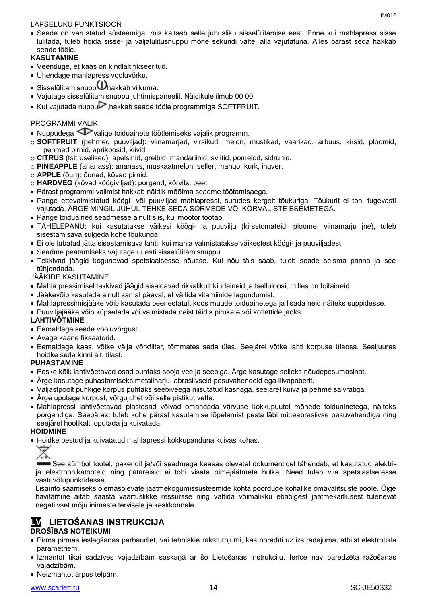#### LAPSELUKU FUNKTSIOON

 Seade on varustatud süsteemiga, mis kaitseb selle juhusliku sisselülitamise eest. Enne kui mahlapress sisse lülitada, tuleb hoida sisse- ja väljalülitusnuppu mõne sekundi vältel alla vajutatuna. Alles pärast seda hakkab seade tööle.

#### **KASUTAMINE**

- Veenduge, et kaas on kindlalt fikseeritud.
- Ühendage mahlapress vooluvõrku.
- $\bullet$  Sisselülitamisnupp $\bigcup$ hakkab vilkuma.
- Vajutage sisselülitamisnuppu juhtimispaneelil. Näidikule ilmub 00 00.
- $\bullet$  Kui vajutada nuppu $\triangleright$ , hakkab seade tööle programmiga SOFTFRUIT.

#### PROGRAMMI VALIK

- Nuppudega  $\triangleleft$  valige toiduainete töötlemiseks vajalik programm.
- o **SOFTFRUIT** (pehmed puuviljad): viinamarjad, virsikud, melon, mustikad, vaarikad, arbuus, kirsid, ploomid, pehmed pirnid, aprikoosid, kiivid.
- o **CITRUS** (tsitruselised): apelsinid, greibid, mandariinid, sviitid, pomelod, sidrunid.
- o **PINEAPPLE** (ananass): ananass, muskaatmelon, seller, mango, kurk, ingver.
- o **APPLE** (õun): õunad, kõvad pirnid.
- o **HARDVEG** (kõvad köögiviljad): porgand, kõrvits, peet.
- Pärast programmi valimist hakkab näidik mõõtma seadme töötamisaega.
- Pange ettevalmistatud köögi- või puuviljad mahlapressi, surudes kergelt tõukuriga. Tõukurit ei tohi tugevasti vajutada. ÄRGE MINGIL JUHUL TEHKE SEDA SÕRMEDE VÕI KÕRVALISTE ESEMETEGA.
- Pange toiduained seadmesse ainult siis, kui mootor töötab.
- TÄHELEPANU: kui kasutatakse väikesi köögi- ja puuvilju (kirsstomateid, ploome, viinamarju jne), tuleb sisestamisava sulgeda kohe tõukuriga.
- Ei ole lubatud jätta sisestamisava lahti, kui mahla valmistatakse väikestest köögi- ja puuviljadest.
- Seadme peatamiseks vajutage uuesti sisselülitamisnuppu.
- Tekkivad jäägid kogunevad spetsiaalsesse nõusse. Kui nõu täis saab, tuleb seade seisma panna ja see tühjendada.

JÄÄKIDE KASUTAMINE

- Mahla pressimisel tekkivad jäägid sisaldavad rikkalikult kiudaineid ja tselluloosi, milles on toitaineid.
- Jääkevõib kasutada ainult samal päeval, et vältida vitamiinide lagundumist.
- Mahlapressimisjääke võib kasutada peenestatult koos muude toiduainetega ja lisada neid näiteks suppidesse.
- Puuviljajääke võib küpsetada või valmistada neist täidis pirukate või kotlettide jaoks.

#### **LAHTIVÕTMINE**

- Eemaldage seade vooluvõrgust.
- Avage kaane fiksaatorid.
- Eemaldage kaas, võtke välja võrkfilter, tõmmates seda üles. Seejärel võtke lahti korpuse ülaosa. Sealjuures hoidke seda kinni alt, tilast.

#### **PUHASTAMINE**

- Peske kõik lahtivõetavad osad puhtaks sooja vee ja seebiga. Ärge kasutage selleks nõudepesumasinat.
- Ärge kasutage puhastamiseks metallharju, abrasiivseid pesuvahendeid ega liivapaberit.
- Väljastpoolt pühkige korpus puhtaks seebiveega niisutatud käsnaga, seejärel kuiva ja pehme salvrätiga.
- Ärge uputage korpust, võrgujuhet või selle pistikut vette.
- Mahlapressi lahtivõetavad plastosad võivad omandada värvuse kokkupuutel mõnede toiduainetega, näiteks porgandiga. Seepärast tuleb kohe pärast kasutamise lõpetamist pesta läbi mitteabrasiivse pesuvahendiga ning seejärel hoolikalt loputada ja kuivatada.

#### **HOIDMINE**

Hoidke pestud ja kuivatatud mahlapressi kokkupanduna kuivas kohas.



See sümbol tootel, pakendil ja/või seadmega kaasas olevatel dokumentidel tähendab, et kasutatud elektrija elektroonikatooteid ning patareisid ei tohi visata olmejäätmete hulka. Need tuleb viia spetsiaalsetesse vastuvõtupunktidesse.

Lisainfo saamiseks olemasolevate jäätmekogumissüsteemide kohta pöörduge kohalike omavalitsuste poole. Õige hävitamine aitab säästa väärtuslikke ressursse ning vältida võimalikku ebaõigest jäätmekäitlusest tulenevat negatiivset mõju inimeste tervisele ja keskkonnale.

### **LV LIETOŠANAS INSTRUKCIJA**

#### **DROŠĪBAS NOTEIKUMI**

- Pirms pirmās ieslēgšanas pārbaudiet, vai tehniskie raksturojumi, kas norādīti uz izstrādājuma, atbilst elektrotīkla parametriem.
- Izmantot tikai sadzīves vajadzībām saskaņā ar šo Lietošanas instrukciju. Ierīce nav paredzēta ražošanas vajadzībām.
- Neizmantot ārpus telpām.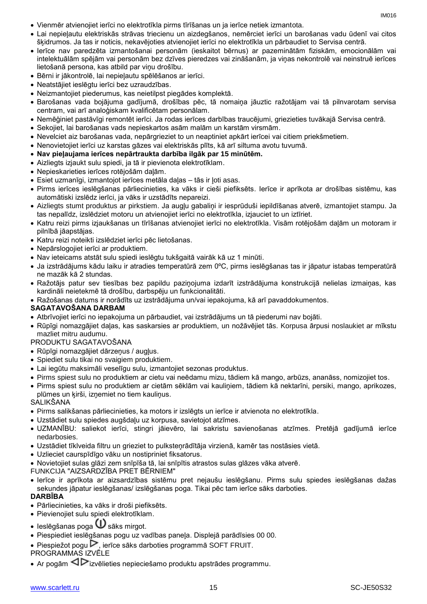- Vienmēr atvienojiet ierīci no elektrotīkla pirms tīrīšanas un ja ierīce netiek izmantota.
- Lai nepieļautu elektriskās strāvas triecienu un aizdegšanos, nemērciet ierīci un barošanas vadu ūdenī vai citos šķidrumos. Ja tas ir noticis, nekavējoties atvienojiet ierīci no elektrotīkla un pārbaudiet to Servisa centrā.
- Ierīce nav paredzēta izmantošanai personām (ieskaitot bērnus) ar pazeminātām fiziskām, emocionālām vai intelektuālām spējām vai personām bez dzīves pieredzes vai zināšanām, ja viņas nekontrolē vai neinstruē ierīces lietošanā persona, kas atbild par viņu drošību.
- Bērni ir jākontrolē, lai nepieļautu spēlēšanos ar ierīci.
- Neatstājiet ieslēgtu ierīci bez uzraudzības.
- Neizmantojiet piederumus, kas neietilpst piegādes komplektā.
- Barošanas vada bojājuma gadījumā, drošības pēc, tā nomaiņa jāuztic ražotājam vai tā pilnvarotam servisa centram, vai arī analoģiskam kvalificētam personālam.
- Nemēģiniet pastāvīgi remontēt ierīci. Ja rodas ierīces darbības traucējumi, griezieties tuvākajā Servisa centrā.
- Sekojiet, lai barošanas vads nepieskartos asām malām un karstām virsmām.
- Nevelciet aiz barošanas vada, nepārgrieziet to un neaptiniet apkārt ierīcei vai citiem priekšmetiem.
- Nenovietojiet ierīci uz karstas gāzes vai elektriskās plīts, kā arī siltuma avotu tuvumā.
- **Nav pieļaujama ierīces nepārtraukta darbība ilgāk par 15 minūtēm.**
- Aizliegts izjaukt sulu spiedi, ja tā ir pievienota elektrotīklam.
- Nepieskarieties ierīces rotējošām daļām.
- Esiet uzmanīgi, izmantojot ierīces metāla daļas tās ir ļoti asas.
- Pirms ierīces ieslēgšanas pārliecinieties, ka vāks ir cieši piefiksēts. Ierīce ir aprīkota ar drošības sistēmu, kas automātiski izslēdz ierīci, ja vāks ir uzstādīts nepareizi.
- Aizliegts stumt produktus ar pirkstiem. Ja augļu gabaliņi ir iesprūduši iepildīšanas atverē, izmantojiet stampu. Ja tas nepalīdz, izslēdziet motoru un atvienojiet ierīci no elektrotīkla, izjauciet to un iztīriet.
- Katru reizi pirms izjaukšanas un tīrīšanas atvienojiet ierīci no elektrotīkla. Visām rotējošām daļām un motoram ir pilnībā jāapstājas.
- Katru reizi noteikti izslēdziet ierīci pēc lietošanas.
- Nepārslogojiet ierīci ar produktiem.
- Nav ieteicams atstāt sulu spiedi ieslēgtu tukšgaitā vairāk kā uz 1 minūti.
- Ja izstrādājums kādu laiku ir atradies temperatūrā zem 0ºC, pirms ieslēgšanas tas ir jāpatur istabas temperatūrā ne mazāk kā 2 stundas.
- Ražotājs patur sev tiesības bez papildu paziņojuma izdarīt izstrādājuma konstrukcijā nelielas izmaiņas, kas kardināli neietekmē tā drošību, darbspēju un funkcionalitāti.
- Ražošanas datums ir norādīts uz izstrādājuma un/vai iepakojuma, kā arī pavaddokumentos.

#### **SAGATAVOŠANA DARBAM**

- Atbrīvojiet ierīci no iepakojuma un pārbaudiet, vai izstrādājums un tā piederumi nav bojāti.
- Rūpīgi nomazgājiet daļas, kas saskarsies ar produktiem, un nožāvējiet tās. Korpusa ārpusi noslaukiet ar mīkstu mazliet mitru audumu.

#### PRODUKTU SAGATAVOŠANA

- Rūpīgi nomazgājiet dārzeņus / augļus.
- Spiediet sulu tikai no svaigiem produktiem.
- Lai iegūtu maksimāli veselīgu sulu, izmantojiet sezonas produktus.
- Pirms spiest sulu no produktiem ar cietu vai neēdamu mizu, tādiem kā mango, arbūzs, ananāss, nomizojiet tos.
- Pirms spiest sulu no produktiem ar cietām sēklām vai kauliņiem, tādiem kā nektarīni, persiki, mango, aprikozes, plūmes un ķirši, izņemiet no tiem kauliņus.

#### SALIKŠANA

- Pirms salikšanas pārliecinieties, ka motors ir izslēgts un ierīce ir atvienota no elektrotīkla.
- Uzstādiet sulu spiedes augšdaļu uz korpusa, savietojot atzīmes.
- UZMANĪBU: saliekot ierīci, stingri jāievēro, lai sakristu savienošanas atzīmes. Pretējā gadījumā ierīce nedarbosies.
- Uzstādiet tīklveida filtru un grieziet to pulksteņrādītāja virzienā, kamēr tas nostāsies vietā.
- Uzlieciet caurspīdīgo vāku un nostipriniet fiksatorus.
- Novietojiet sulas glāzi zem snīpīša tā, lai snīpītis atrastos sulas glāzes vāka atverē.

FUNKCIJA "AIZSARDZĪBA PRET BĒRNIEM"

 Ierīce ir aprīkota ar aizsardzības sistēmu pret nejaušu ieslēgšanu. Pirms sulu spiedes ieslēgšanas dažas sekundes jāpatur ieslēgšanas/ izslēgšanas poga. Tikai pēc tam ierīce sāks darboties.

#### **DARBĪBA**

- Pārliecinieties, ka vāks ir droši piefiksēts.
- Pievienojiet sulu spiedi elektrotīklam.
- Ieslēgšanas poga  $\mathbf 0$  sāks mirgot.
- Piespiediet ieslēgšanas pogu uz vadības paneļa. Displejā parādīsies 00 00.
- $\bullet$  Piespiežot pogu $\triangleright$ , ierīce sāks darboties programmā SOFT FRUIT.
- PROGRAMMAS IZVĒLE
- Ar pogām  $\triangle$  izvēlieties nepieciešamo produktu apstrādes programmu.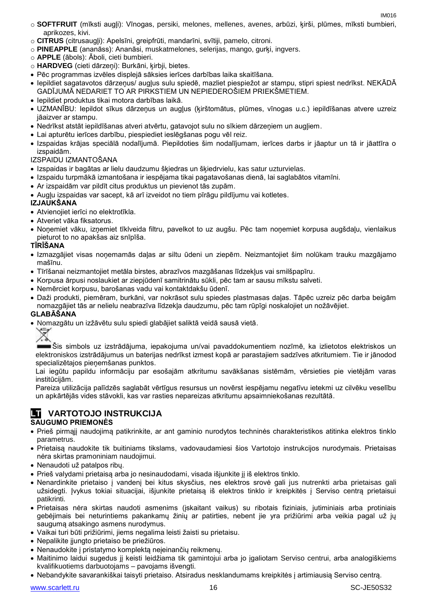IM016

- o **SOFTFRUIT** (mīksti augļi): Vīnogas, persiki, melones, mellenes, avenes, arbūzi, ķirši, plūmes, mīksti bumbieri, aprikozes, kivi.
- o **CITRUS** (citrusaugļi): Apelsīni, greipfrūti, mandarīni, svītiji, pamelo, citroni.
- o **PINEAPPLE** (ananāss): Ananāsi, muskatmelones, selerijas, mango, gurķi, ingvers.
- o **APPLE** (ābols): Āboli, cieti bumbieri.
- o **HARDVEG** (cieti dārzeņi): Burkāni, ķirbji, bietes.
- Pēc programmas izvēles displejā sāksies ierīces darbības laika skaitīšana.
- Iepildiet sagatavotos dārzeņus/ augļus sulu spiedē, mazliet piespiežot ar stampu, stipri spiest nedrīkst. NEKĀDĀ GADĪJUMĀ NEDARIET TO AR PIRKSTIEM UN NEPIEDEROŠIEM PRIEKŠMETIEM.
- Iepildiet produktus tikai motora darbības laikā.
- UZMANĪBU: Iepildot sīkus dārzeņus un augļus (ķirštomātus, plūmes, vīnogas u.c.) iepildīšanas atvere uzreiz jāaizver ar stampu.
- Nedrīkst atstāt iepildīšanas atveri atvērtu, gatavojot sulu no sīkiem dārzeņiem un augļiem.
- Lai apturētu ierīces darbību, piespiediet ieslēgšanas pogu vēl reiz.
- Izspaidas krājas speciālā nodalījumā. Piepildoties šim nodalījumam, ierīces darbs ir jāaptur un tā ir jāattīra o izspaidām.

#### IZSPAIDU IZMANTOŠANA

- Izspaidas ir bagātas ar lielu daudzumu šķiedras un šķiedrvielu, kas satur uzturvielas.
- Izspaidu turpmākā izmantošana ir iespējama tikai pagatavošanas dienā, lai saglabātos vitamīni.
- Ar izspaidām var pildīt citus produktus un pievienot tās zupām.
- Augļu izspaidas var sacept, kā arī izveidot no tiem pīrāgu pildījumu vai kotletes.

#### **IZJAUKŠANA**

- Atvienojiet ierīci no elektrotīkla.
- Atveriet vāka fiksatorus.
- Noņemiet vāku, izņemiet tīklveida filtru, pavelkot to uz augšu. Pēc tam noņemiet korpusa augšdaļu, vienlaikus pieturot to no apakšas aiz snīpīša.

#### **TĪRĪŠANA**

- Izmazgājiet visas noņemamās daļas ar siltu ūdeni un ziepēm. Neizmantojiet šim nolūkam trauku mazgājamo mašīnu.
- Tīrīšanai neizmantojiet metāla birstes, abrazīvos mazgāšanas līdzekļus vai smilšpapīru.
- Korpusa ārpusi noslaukiet ar ziepjūdenī samitrinātu sūkli, pēc tam ar sausu mīkstu salveti.
- Nemērciet korpusu, barošanas vadu vai kontaktdakšu ūdenī.
- Daži produkti, piemēram, burkāni, var nokrāsot sulu spiedes plastmasas daļas. Tāpēc uzreiz pēc darba beigām nomazgājiet tās ar nelielu neabrazīva līdzekļa daudzumu, pēc tam rūpīgi noskalojiet un nožāvējiet.

#### **GLABĀŠANA**

Nomazgātu un izžāvētu sulu spiedi glabājiet saliktā veidā sausā vietā.

Šis simbols uz izstrādājuma, iepakojuma un/vai pavaddokumentiem nozīmē, ka izlietotos elektriskos un elektroniskos izstrādājumus un baterijas nedrīkst izmest kopā ar parastajiem sadzīves atkritumiem. Tie ir jānodod specializētajos pieņemšanas punktos.

Lai iegūtu papildu informāciju par esošajām atkritumu savākšanas sistēmām, vērsieties pie vietējām varas institūcijām.

Pareiza utilizācija palīdzēs saglabāt vērtīgus resursus un novērst iespējamu negatīvu ietekmi uz cilvēku veselību un apkārtējās vides stāvokli, kas var rasties nepareizas atkritumu apsaimniekošanas rezultātā.

#### **LT VARTOTOJO INSTRUKCIJA SAUGUMO PRIEMONĖS**

- Prieš pirmąjį naudojimą patikrinkite, ar ant gaminio nurodytos techninės charakteristikos atitinka elektros tinklo parametrus.
- Prietaisą naudokite tik buitiniams tikslams, vadovaudamiesi šios Vartotojo instrukcijos nurodymais. Prietaisas nėra skirtas pramoniniam naudojimui.
- Nenaudoti už patalpos ribų.
- Prieš valydami prietaisą arba jo nesinaudodami, visada išjunkite jį iš elektros tinklo.
- Nenardinkite prietaiso į vandenį bei kitus skysčius, nes elektros srovė gali jus nutrenkti arba prietaisas gali užsidegti. Įvykus tokiai situacijai, išiunkite prietaisą iš elektros tinklo ir kreipkitės į Serviso centrą prietaisui patikrinti.
- Prietaisas nėra skirtas naudoti asmenims (įskaitant vaikus) su ribotais fiziniais, jutiminiais arba protiniais gebėjimais bei neturintiems pakankamų žinių ar patirties, nebent jie yra prižiūrimi arba veikia pagal už jų saugumą atsakingo asmens nurodymus.
- Vaikai turi būti prižiūrimi, jiems negalima leisti žaisti su prietaisu.
- Nepalikite įjungto prietaiso be priežiūros.
- Nenaudokite į pristatymo komplektą neįeinančių reikmenų.
- Maitinimo laidui sugedus jį keisti leidžiama tik gamintojui arba jo įgaliotam Serviso centrui, arba analogiškiems kvalifikuotiems darbuotojams – pavojams išvengti.
- Nebandykite savarankiškai taisyti prietaiso. Atsiradus nesklandumams kreipkitės į artimiausią Serviso centrą.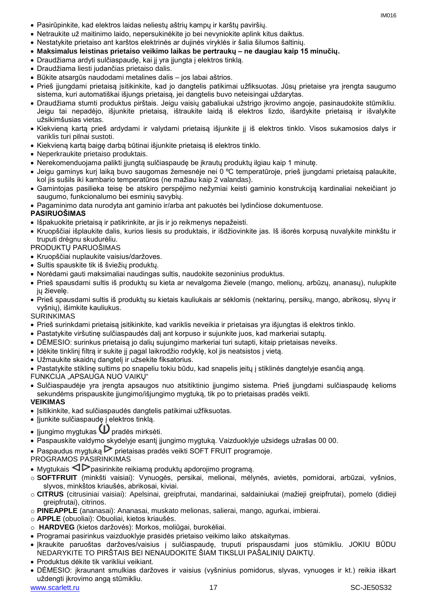- Pasirūpinkite, kad elektros laidas neliestų aštrių kampų ir karštų paviršių.
- Netraukite už maitinimo laido, nepersukinėkite jo bei nevyniokite aplink kitus daiktus.
- Nestatykite prietaiso ant karštos elektrinės ar dujinės viryklės ir šalia šilumos šaltinių.
- **Maksimalus leistinas prietaiso veikimo laikas be pertraukų – ne daugiau kaip 15 minučių.**
- Draudžiama ardyti sulčiaspaudę, kai jį yra įjungta į elektros tinklą.
- Draudžiama liesti judančias prietaiso dalis.
- Būkite atsargūs naudodami metalines dalis jos labai aštrios.
- Prieš įjungdami prietaisą įsitikinkite, kad jo dangtelis patikimai užfiksuotas. Jūsų prietaise yra įrengta saugumo sistema, kuri automatiškai išjungs prietaisą, jei dangtelis buvo neteisingai uždarytas.
- Draudžiama stumti produktus pirštais. Jeigu vaisių gabaliukai užstrigo įkrovimo angoje, pasinaudokite stūmikliu. Jeigu tai nepadėjo, išjunkite prietaisą, ištraukite laidą iš elektros lizdo, išardykite prietaisą ir išvalykite užsikimšusias vietas.
- Kiekvieną kartą prieš ardydami ir valydami prietaisą išjunkite jį iš elektros tinklo. Visos sukamosios dalys ir variklis turi pilnai sustoti.
- Kiekvieną kartą baigę darbą būtinai išjunkite prietaisą iš elektros tinklo.
- Neperkraukite prietaiso produktais.
- Nerekomenduojama palikti įjungtą sulčiaspaudę be įkrautų produktų ilgiau kaip 1 minutę.
- Jeigu gaminys kurį laiką buvo saugomas žemesnėje nei 0 ºC temperatūroje, prieš įjungdami prietaisą palaukite, kol jis sušils iki kambario temperatūros (ne mažiau kaip 2 valandas).
- Gamintojas pasilieka teisę be atskiro perspėjimo nežymiai keisti gaminio konstrukciją kardinaliai nekeičiant jo saugumo, funkcionalumo bei esminių savybių.
- Pagaminimo data nurodyta ant gaminio ir/arba ant pakuotės bei lydinčiose dokumentuose.

#### **PASIRUOŠIMAS**

- Išpakuokite prietaisą ir patikrinkite, ar jis ir jo reikmenys nepažeisti.
- Kruopščiai išplaukite dalis, kurios liesis su produktais, ir išdžiovinkite jas. Iš išorės korpusą nuvalykite minkštu ir truputi drėgnu skudurėliu.

#### PRODUKTŲ PARUOŠIMAS

- Kruopščiai nuplaukite vaisius/daržoves.
- Sultis spauskite tik iš šviežių produktų.
- Norėdami gauti maksimaliai naudingas sultis, naudokite sezoninius produktus.
- Prieš spausdami sultis iš produktų su kieta ar nevalgoma žievele (mango, melionų, arbūzų, ananasų), nulupkite jų žievelę.
- Prieš spausdami sultis iš produktų su kietais kauliukais ar sėklomis (nektarinų, persikų, mango, abrikosų, slyvų ir vyšnių), išimkite kauliukus.

SURINKIMAS

- Prieš surinkdami prietaisą įsitikinkite, kad variklis neveikia ir prietaisas yra išjungtas iš elektros tinklo.
- Pastatykite viršutinę sulčiaspaudės dalį ant korpuso ir sujunkite juos, kad markeriai sutaptų.
- DĖMESIO: surinkus prietaisą jo dalių sujungimo markeriai turi sutapti, kitaip prietaisas neveiks.
- Idėkite tinklinį filtrą ir sukite jį pagal laikrodžio rodyklę, kol jis neatsistos į vietą.
- Užmaukite skaidrų dangtelį ir užsekite fiksatorius.
- Pastatykite stiklinę sultims po snapeliu tokiu būdu, kad snapelis įeitų į stiklinės dangtelyje esančią angą.
- FUNKCIJA "APSAUGA NUO VAIKŲ"
- Sulčiaspaudėje yra įrengta apsaugos nuo atsitiktinio įjungimo sistema. Prieš įjungdami sulčiaspaudę kelioms sekundėms prispauskite įjungimo/išjungimo mygtuką, tik po to prietaisas pradės veikti.
- **VEIKIMAS**
- Įsitikinkite, kad sulčiaspaudės dangtelis patikimai užfiksuotas.
- Jjunkite sulčiaspaudę į elektros tinklą.
- $\bullet$  Jjungimo mygtukas  $\textcircled{\iota}$  pradės mirksėti.
- Paspauskite valdymo skydelyje esantį įjungimo mygtuką. Vaizduoklyje užsidegs užrašas 00 00.
- Paspaudus mygtuką  $\triangleright$  prietaisas pradės veikti SOFT FRUIT programoje.

#### PROGRAMOS PASIRINKIMAS

- Mygtukais  $\triangle$  pasirinkite reikiamą produktų apdorojimo programą.
- o **SOFTFRUIT** (minkšti vaisiai): Vynuogės, persikai, melionai, mėlynės, avietės, pomidorai, arbūzai, vyšnios, slyvos, minkštos kriaušės, abrikosai, kiviai.
- o **CITRUS** (citrusiniai vaisiai): Apelsinai, greipfrutai, mandarinai, saldainiukai (mažieji greipfrutai), pomelo (didieji greipfrutai), citrinos.
- o **PINEAPPLE** (ananasai): Ananasai, muskato melionas, salierai, mango, agurkai, imbierai.
- o **APPLE** (obuoliai): Obuoliai, kietos kriaušės.
- o **HARDVEG** (kietos daržovės): Morkos, moliūgai, burokėliai.
- Programai pasirinkus vaizduoklyje prasidės prietaiso veikimo laiko atskaitymas.
- Įkraukite paruoštas daržoves/vaisius į sulčiaspaudę, truputi prispausdami juos stūmikliu. JOKIU BŪDU NEDARYKITE TO PIRŠTAIS BEI NENAUDOKITE ŠIAM TIKSLUI PAŠALINIŲ DAIKTŲ.
- Produktus dėkite tik varikliui veikiant.
- DĖMESIO: įkraunant smulkias daržoves ir vaisius (vyšninius pomidorus, slyvas, vynuoges ir kt.) reikia iškart uždengti įkrovimo angą stūmikliu.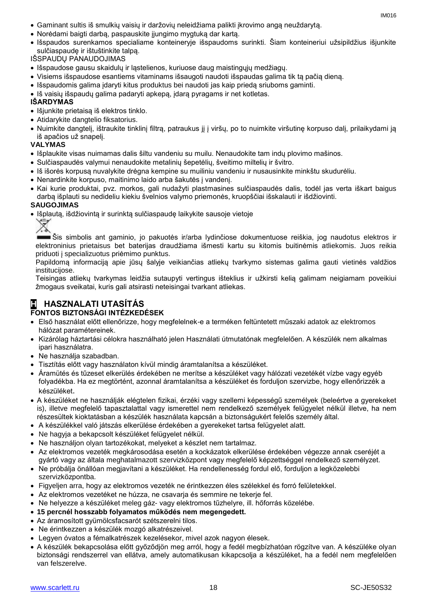- Gaminant sultis iš smulkių vaisių ir daržovių neleidžiama palikti įkrovimo angą neuždarytą.
- Norėdami baigti darbą, paspauskite įjungimo mygtuką dar kartą.
- Išspaudos surenkamos specialiame konteineryje išspaudoms surinkti. Šiam konteineriui užsipildžius išjunkite sulčiaspaudę ir ištuštinkite talpą.

IŠSPAUDŲ PANAUDOJIMAS

- Išspaudose gausu skaidulų ir ląstelienos, kuriuose daug maistingųjų medžiagų.
- Visiems išspaudose esantiems vitaminams išsaugoti naudoti išspaudas galima tik tą pačią dieną.
- Išspaudomis galima įdaryti kitus produktus bei naudoti jas kaip priedą sriuboms gaminti.
- Iš vaisių išspaudų galima padaryti apkepą, įdarą pyragams ir net kotletas.

#### **IŠARDYMAS**

- Išjunkite prietaisa iš elektros tinklo.
- Atidarykite dangtelio fiksatorius.
- Nuimkite dangtelį, ištraukite tinklinį filtrą, patraukus jį į viršų, po to nuimkite viršutinę korpuso dalį, prilaikydami ją iš apačios už snapelį.

#### **VALYMAS**

- Išplaukite visas nuimamas dalis šiltu vandeniu su muilu. Nenaudokite tam indų plovimo mašinos.
- Sulčiaspaudės valymui nenaudokite metalinių šepetėlių, šveitimo miltelių ir švitro.
- Iš išorės korpusą nuvalykite drėgna kempine su muiliniu vandeniu ir nusausinkite minkštu skudurėliu.
- Nenardinkite korpuso, maitinimo laido arba šakutės į vandenį.
- Kai kurie produktai, pvz. morkos, gali nudažyti plastmasines sulčiaspaudės dalis, todėl jas verta iškart baigus darbą išplauti su nedideliu kiekiu švelnios valymo priemonės, kruopščiai išskalauti ir išdžiovinti.

#### **SAUGOJIMAS**

Išplautą, išdžiovintą ir surinktą sulčiaspaudę laikykite sausoje vietoje



Šis simbolis ant gaminio, jo pakuotės ir/arba lydinčiose dokumentuose reiškia, jog naudotus elektros ir elektroninius prietaisus bet baterijas draudžiama išmesti kartu su kitomis buitinėmis atliekomis. Juos reikia priduoti į specializuotus priėmimo punktus.

Papildomą informaciją apie jūsų šalyje veikiančias atliekų tvarkymo sistemas galima gauti vietinės valdžios institucijose.

Teisingas atliekų tvarkymas leidžia sutaupyti vertingus išteklius ir užkirsti kelią galimam neigiamam poveikiui žmogaus sveikatai, kuris gali atsirasti neteisingai tvarkant atliekas.

#### **H HASZNALATI UTASÍTÁS FONTOS BIZTONSÁGI INTÉZKEDÉSEK**

- Első használat előtt ellenőrizze, hogy megfelelnek-e a terméken feltüntetett műszaki adatok az elektromos hálózat paramétereinek.
- Kizárólag háztartási célokra használható jelen Használati útmutatónak megfelelően. A készülék nem alkalmas ipari használatra.
- Ne használja szabadban.
- Tisztítás előtt vagy használaton kívül mindig áramtalanítsa a készüléket.
- Áramütés és tűzeset elkerülés érdekében ne merítse a készüléket vagy hálózati vezetékét vízbe vagy egyéb folyadékba. Ha ez megtörtént, azonnal áramtalanítsa a készüléket és forduljon szervizbe, hogy ellenőrizzék a készüléket.
- A készüléket ne használják elégtelen fizikai, érzéki vagy szellemi képességű személyek (beleértve a gyerekeket is), illetve megfelelő tapasztalattal vagy ismerettel nem rendelkező személyek felügyelet nélkül illetve, ha nem részesültek kioktatásban a készülék használata kapcsán a biztonságukért felelős személy által.
- A készülékkel való játszás elkerülése érdekében a gyerekeket tartsa felügyelet alatt.
- Ne hagyja a bekapcsolt készüléket felügyelet nélkül.
- Ne használjon olyan tartozékokat, melyeket a készlet nem tartalmaz.
- Az elektromos vezeték megkárosodása esetén a kockázatok elkerülése érdekében végezze annak cseréjét a gyártó vagy az általa meghatalmazott szervizközpont vagy megfelelő képzettséggel rendelkező személyzet.
- Ne próbálja önállóan megjavítani a készüléket. Ha rendellenesség fordul elő, forduljon a legközelebbi szervizközpontba.
- Figyeljen arra, hogy az elektromos vezeték ne érintkezzen éles szélekkel és forró felületekkel.
- Az elektromos vezetéket ne húzza, ne csavarja és semmire ne tekerje fel.
- Ne helyezze a készüléket meleg gáz- vagy elektromos tűzhelyre, ill. hőforrás közelébe.
- **15 percnél hosszabb folyamatos működés nem megengedett.**
- Az áramosított gyümölcsfacsarót szétszerelni tilos.
- Ne érintkezzen a készülék mozgó alkatrészeivel.
- Legyen óvatos a fémalkatrészek kezelésekor, mivel azok nagyon élesek.
- A készülék bekapcsolása előtt győződjön meg arról, hogy a fedél megbízhatóan rögzítve van. A készüléke olyan biztonsági rendszerrel van ellátva, amely automatikusan kikapcsolja a készüléket, ha a fedél nem megfelelően van felszerelve.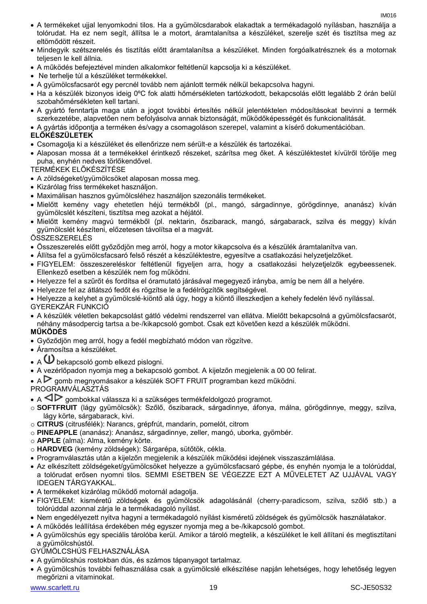- A termékeket ujjal lenyomkodni tilos. Ha a gyümölcsdarabok elakadtak a termékadagoló nyílásban, használja a tolórudat. Ha ez nem segít, állítsa le a motort, áramtalanítsa a készüléket, szerelje szét és tisztítsa meg az eltömődött részeit.
- Mindegyik szétszerelés és tisztítás előtt áramtalanítsa a készüléket. Minden forgóalkatrésznek és a motornak teljesen le kell állnia.
- A működés befejeztével minden alkalomkor feltétlenül kapcsolja ki a készüléket.
- Ne terhelje túl a készüléket termékekkel.
- A gyümölcsfacsarót egy percnél tovább nem ajánlott termék nélkül bekapcsolva hagyni.
- Ha a készülék bizonyos ideig 0ºC fok alatti hőmérsékleten tartózkodott, bekapcsolás előtt legalább 2 órán belül szobahőmérsékleten kell tartani.
- A gyártó fenntartja maga után a jogot további értesítés nélkül jelentéktelen módosításokat bevinni a termék szerkezetébe, alapvetően nem befolyásolva annak biztonságát, működőképességét és funkcionalitását.
- A gyártás időpontja a terméken és/vagy a csomagoláson szerepel, valamint a kísérő dokumentációban.

#### **ELŐKÉSZÜLETEK**

- Csomagolja ki a készüléket és ellenőrizze nem sérült-e a készülék és tartozékai.
- Alaposan mossa át a termékekkel érintkező részeket, szárítsa meg őket. A készüléktestet kívülről törölje meg puha, enyhén nedves törlőkendővel.

TERMÉKEK ELŐKÉSZÍTÉSE

- A zöldségeket/gyümölcsöket alaposan mossa meg.
- Kizárólag friss termékeket használjon.
- Maximálisan hasznos gyümölcsléhez használjon szezonális termékeket.
- Mielőtt kemény vagy ehetetlen héjú termékből (pl., mangó, sárgadinnye, görögdinnye, ananász) kíván gyümölcslét készíteni, tisztítsa meg azokat a héjától.
- Mielőtt kemény magvú termékből (pl. nektarin, őszibarack, mangó, sárgabarack, szilva és meggy) kíván gyümölcslét készíteni, előzetesen távolítsa el a magvát.

ÖSSZESZERELÉS

- Összeszerelés előtt győződjön meg arról, hogy a motor kikapcsolva és a készülék áramtalanítva van.
- Állítsa fel a gyümölcsfacsaró felső részét a készüléktestre, egyesítve a csatlakozási helyzetjelzőket.
- FIGYELEM: összeszereléskor feltétlenül figyeljen arra, hogy a csatlakozási helyzetjelzők egybeessenek. Ellenkező esetben a készülék nem fog működni.
- Helyezze fel a szűrőt és fordítsa el óramutató járásával megegyező irányba, amíg be nem áll a helyére.
- Helyezze fel az átlátszó fedőt és rögzítse le a fedélrögzítők segítségével.
- Helyezze a kelyhet a gyümölcslé-kiöntő alá úgy, hogy a kiöntő illeszkedjen a kehely fedelén lévő nyílással. GYEREKZÁR FUNKCIÓ
- A készülék véletlen bekapcsolást gátló védelmi rendszerrel van ellátva. Mielőtt bekapcsolná a gyümölcsfacsarót, néhány másodpercig tartsa a be-/kikapcsoló gombot. Csak ezt követően kezd a készülék működni. **MŰKÖDÉS**
- Győződjön meg arról, hogy a fedél megbízható módon van rögzítve.
- Áramosítsa a készüléket.
- $\bullet$  A  $\bullet$  bekapcsoló gomb elkezd pislogni.
- A vezérlőpadon nyomja meg a bekapcsoló gombot. A kijelzőn megjelenik a 00 00 felirat.
- $A \triangleright$  gomb megnyomásakor a készülék SOFT FRUIT programban kezd működni.

#### **PROGRAMVÁLASZTÁS**

- A  $\triangleleft\triangleright$  gombokkal válassza ki a szükséges termékfeldolgozó programot.
- o **SOFTFRUIT** (lágy gyümölcsök): Szőlő, őszibarack, sárgadinnye, áfonya, málna, görögdinnye, meggy, szilva, lágy körte, sárgabarack, kivi.
- o **CITRUS** (citrusfélék): Narancs, grépfrút, mandarin, pomelót, citrom
- o **PINEAPPLE** (ananász): Ananász, sárgadinnye, zeller, mangó, uborka, gyömbér.
- o **APPLE** (alma): Alma, kemény körte.
- o **HARDVEG** (kemény zöldségek): Sárgarépa, sütőtök, cékla.
- Programválasztás után a kijelzőn megjelenik a készülék működési idejének visszaszámlálása.
- Az elkészített zöldségeket/gyümölcsöket helyezze a gyümölcsfacsaró gépbe, és enyhén nyomja le a tolórúddal, a tolórudat erősen nyomni tilos. SEMMI ESETBEN SE VÉGEZZE EZT A MŰVELETET AZ UJJÁVAL VAGY IDEGEN TÁRGYAKKAL.
- A termékeket kizárólag működő motornál adagolja.
- FIGYELEM: kisméretű zöldségek és gyümölcsök adagolásánál (cherry-paradicsom, szilva, szőlő stb.) a tolórúddal azonnal zárja le a termékadagoló nyílást.
- Nem engedélyezett nyitva hagyni a termékadagoló nyílást kisméretű zöldségek és gyümölcsök használatakor.
- A működés leállítása érdekében még egyszer nyomja meg a be-/kikapcsoló gombot.
- A gyümölcshús egy speciális tárolóba kerül. Amikor a tároló megtelik, a készüléket le kell állítani és megtisztítani a gyümölcshústól.
- GYÜMÖLCSHÚS FELHASZNÁLÁSA
- A gyümölcshús rostokban dús, és számos tápanyagot tartalmaz.
- A gyümölcshús további felhasználása csak a gyümölcslé elkészítése napján lehetséges, hogy lehetőség legyen megőrizni a vitaminokat.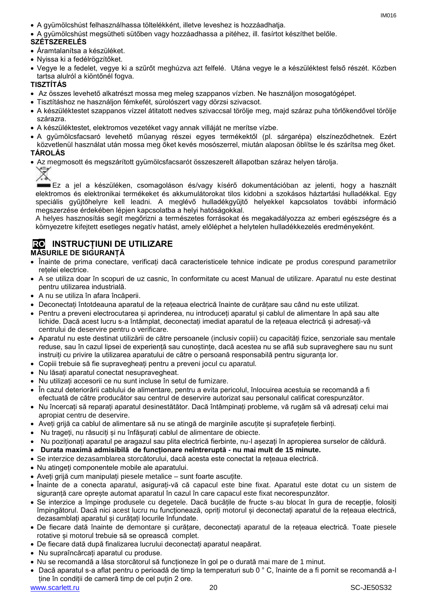- A gyümölcshúst felhasználhassa töltelékként, illetve leveshez is hozzáadhatja.
- A gyümölcshúst megsütheti sütőben vagy hozzáadhassa a pitéhez, ill. fasírtot készíthet belőle.

#### **SZÉTSZERELÉS**

- Áramtalanítsa a készüléket.
- Nyissa ki a fedélrögzítőket.
- Vegye le a fedelet, vegye ki a szűrőt meghúzva azt felfelé. Utána vegye le a készüléktest felső részét. Közben tartsa alulról a kiöntőnél fogva.

#### **TISZTÍTÁS**

- Az összes levehető alkatrészt mossa meg meleg szappanos vízben. Ne használjon mosogatógépet.
- Tisztításhoz ne használjon fémkefét, súrolószert vagy dörzsi szivacsot.
- A készüléktestet szappanos vízzel átitatott nedves szivaccsal törölje meg, majd száraz puha törlőkendővel törölje szárazra.
- A készüléktestet, elektromos vezetéket vagy annak villáját ne merítse vízbe.
- A gyümölcsfacsaró levehető műanyag részei egyes termékektől (pl. sárgarépa) elszíneződhetnek. Ezért közvetlenül használat után mossa meg őket kevés mosószerrel, miután alaposan öblítse le és szárítsa meg őket. **TÁROLÁS**
- Az megmosott és megszárított gyümölcsfacsarót összeszerelt állapotban száraz helyen tárolja.



Ez a jel a készüléken, csomagoláson és/vagy kísérő dokumentációban az jelenti, hogy a használt elektromos és elektronikai termékeket és akkumulátorokat tilos kidobni a szokásos háztartási hulladékkal. Egy speciális gyűjtőhelyre kell leadni. A meglévő hulladékgyűjtő helyekkel kapcsolatos további információ megszerzése érdekében lépjen kapcsolatba a helyi hatóságokkal.

A helyes hasznosítás segít megőrizni a természetes forrásokat és megakadályozza az emberi egészségre és a környezetre kifejtett esetleges negatív hatást, amely előléphet a helytelen hulladékkezelés eredményeként.

# **RO INSTRUCȚIUNI DE UTILIZARE**

#### **MĂSURILE DE SIGURANȚĂ**

- Înainte de prima conectare, verificați dacă caracteristicele tehnice indicate pe produs corespund parametrilor rețelei electrice.
- A se utiliza doar în scopuri de uz casnic, în conformitate cu acest Manual de utilizare. Aparatul nu este destinat pentru utilizarea industrială.
- A nu se utiliza în afara încăperii.
- Deconectați întotdeauna aparatul de la rețeaua electrică înainte de curățare sau când nu este utilizat.
- Pentru a preveni electrocutarea și aprinderea, nu introduceți aparatul și cablul de alimentare în apă sau alte lichide. Dacă acest lucru s-a întâmplat, deconectați imediat aparatul de la rețeaua electrică și adresați-vă centrului de deservire pentru o verificare.
- Aparatul nu este destinat utilizării de către persoanele (inclusiv copiii) cu capacități fizice, senzoriale sau mentale reduse, sau în cazul lipsei de experiență sau cunoștințe, dacă acestea nu se află sub supraveghere sau nu sunt instruiți cu privire la utilizarea aparatului de către o persoană responsabilă pentru siguranța lor.
- Copiii trebuie să fie supravegheați pentru a preveni jocul cu aparatul.
- Nu lăsați aparatul conectat nesupravegheat.
- Nu utilizați accesorii ce nu sunt incluse în setul de furnizare.
- În cazul deteriorării cablului de alimentare, pentru a evita pericolul, înlocuirea acestuia se recomandă a fi efectuată de către producător sau centrul de deservire autorizat sau personalul calificat corespunzător.
- Nu încercați să reparați aparatul desinestătător. Dacă întâmpinați probleme, vă rugăm să vă adresați celui mai apropiat centru de deservire.
- Aveți grijă ca cablul de alimentare să nu se atingă de marginile ascuțite și suprafețele fierbinți.
- Nu trageți, nu răsuciți și nu înfășurați cablul de alimentare de obiecte.
- Nu poziționați aparatul pe aragazul sau plita electrică fierbinte, nu-l așezați în apropierea surselor de căldură.
- **Durata maximă admisibilă de funcționare neîntreruptă - nu mai mult de 15 minute.**
- Se interzice dezasamblarea storcătorului, dacă acesta este conectat la rețeaua electrică.
- Nu atingeți componentele mobile ale aparatului.
- Aveți grijă cum manipulați piesele metalice sunt foarte ascuțite.
- Înainte de a conecta aparatul, asigurați-vă că capacul este bine fixat. Aparatul este dotat cu un sistem de siguranță care oprește automat aparatul în cazul în care capacul este fixat necorespunzător.
- Se interzice a împinge produsele cu degetele. Dacă bucățile de fructe s-au blocat în gura de recepție, folosiți împingătorul. Dacă nici acest lucru nu funcționează, opriți motorul și deconectați aparatul de la rețeaua electrică, dezasamblați aparatul și curățați locurile înfundate.
- De fiecare dată înainte de demontare și curățare, deconectați aparatul de la rețeaua electrică. Toate piesele rotative și motorul trebuie să se oprească complet.
- De fiecare dată după finalizarea lucrului deconectați aparatul neapărat.
- Nu supraîncărcați aparatul cu produse.
- Nu se recomandă a lăsa storcătorul să funcționeze în gol pe o durată mai mare de 1 minut.
- Dacă aparatul s-a aflat pentru o perioadă de timp la temperaturi sub 0 ° C, înainte de a fi pornit se recomandă a-l ține în condiții de cameră timp de cel puțin 2 ore.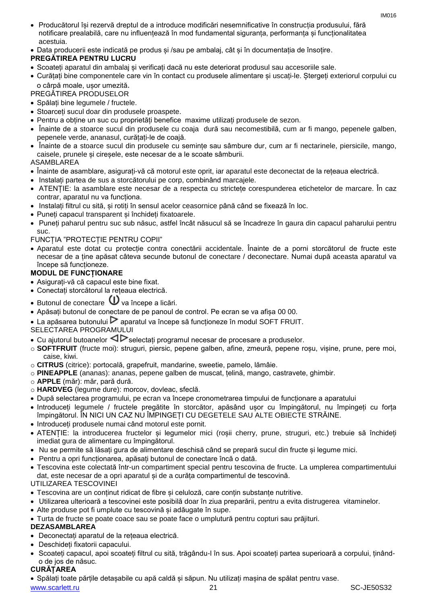- Producătorul își rezervă dreptul de a introduce modificări nesemnificative în construcția produsului, fără notificare prealabilă, care nu influențează în mod fundamental siguranța, performanța și funcționalitatea acestuia.
- Data producerii este indicată pe produs și /sau pe ambalaj, cât și în documentația de însoțire.

#### **PREGĂTIREA PENTRU LUCRU**

- Scoateți aparatul din ambalaj și verificați dacă nu este deteriorat produsul sau accesoriile sale.
- Curățați bine componentele care vin în contact cu produsele alimentare și uscați-le. Ștergeți exteriorul corpului cu o cârpă moale, ușor umezită.

#### PREGĂTIREA PRODUSELOR

- Spălați bine legumele / fructele.
- Stoarceți sucul doar din produsele proaspete.
- Pentru a obține un suc cu proprietăți benefice maxime utilizați produsele de sezon.
- Înainte de a stoarce sucul din produsele cu coaja dură sau necomestibilă, cum ar fi mango, pepenele galben, pepenele verde, ananasul, curățați-le de coajă.
- Înainte de a stoarce sucul din produsele cu semințe sau sâmbure dur, cum ar fi nectarinele, piersicile, mango, caisele, prunele și cireșele, este necesar de a le scoate sâmburii.

#### ASAMBLAREA

- Înainte de asamblare, asigurați-vă că motorul este oprit, iar aparatul este deconectat de la rețeaua electrică.
- Instalați partea de sus a storcătorului pe corp, combinând marcajele.
- ATENȚIE: la asamblare este necesar de a respecta cu strictețe corespunderea etichetelor de marcare. În caz contrar, aparatul nu va funcționa.
- Instalați filtrul cu sită, și rotiți în sensul acelor ceasornice până când se fixează în loc.
- Puneți capacul transparent și închideți fixatoarele.
- Puneți paharul pentru suc sub năsuc, astfel încât năsucul să se încadreze în gaura din capacul paharului pentru suc.
- FUNCȚIA "PROTECȚIE PENTRU COPII"
- Aparatul este dotat cu protecție contra conectării accidentale. Înainte de a porni storcătorul de fructe este necesar de a ține apăsat câteva secunde butonul de conectare / deconectare. Numai după aceasta aparatul va începe să funcționeze.

#### **MODUL DE FUNCȚIONARE**

- Asigurați-vă că capacul este bine fixat.
- Conectați storcătorul la rețeaua electrică.
- $\bullet$  Butonul de conectare  $\bullet$  va începe a licări.
- Apăsați butonul de conectare de pe panoul de control. Pe ecran se va afișa 00 00.
- $\bullet$  La apăsarea butonului  $\triangleright$  aparatul va începe să functioneze în modul SOFT FRUIT.

#### SELECTAREA PROGRAMULUI

- Cu ajutorul butoanelor  $\triangle$  selectati programul necesar de procesare a produselor.
- o **SOFTFRUIT** (fructe moi): struguri, piersic, pepene galben, afine, zmeură, pepene roșu, vișine, prune, pere moi, caise, kiwi.
- o **CITRUS** (citrice): portocală, grapefruit, mandarine, sweetie, pamelo, lămâie.
- o **PINEAPPLE** (ananas): ananas, pepene galben de muscat, țelină, mango, castravete, ghimbir.
- o **APPLE** (măr): măr, pară dură.
- o **HARDVEG** (legume dure): morcov, dovleac, sfeclă.
- După selectarea programului, pe ecran va începe cronometrarea timpului de funcționare a aparatului
- Introduceți legumele / fructele pregătite în storcător, apăsând ușor cu împingătorul, nu împingeți cu forța împingătorul. ÎN NICI UN CAZ NU ÎMPINGEȚI CU DEGETELE SAU ALTE OBIECTE STRĂINE.
- Introduceți produsele numai când motorul este pornit.
- ATENȚIE: la introducerea fructelor și legumelor mici (roșii cherry, prune, struguri, etc.) trebuie să închideți imediat gura de alimentare cu împingătorul.
- Nu se permite să lăsați gura de alimentare deschisă când se prepară sucul din fructe și legume mici.
- Pentru a opri funcționarea, apăsați butonul de conectare încă o dată.
- Tescovina este colectată într-un compartiment special pentru tescovina de fructe. La umplerea compartimentului dat, este necesar de a opri aparatul și de a curăța compartimentul de tescovină.

UTILIZAREA TESCOVINEI

- Tescovina are un conținut ridicat de fibre și celuloză, care conțin substanțe nutritive.
- Utilizarea ulterioară a tescovinei este posibilă doar în ziua preparării, pentru a evita distrugerea vitaminelor.
- Alte produse pot fi umplute cu tescovină și adăugate în supe.
- Turta de fructe se poate coace sau se poate face o umplutură pentru copturi sau prăjituri.

#### **DEZASAMBLAREA**

- Deconectați aparatul de la rețeaua electrică.
- Deschideți fixatorii capacului.
- Scoateți capacul, apoi scoateți filtrul cu sită, trăgându-l în sus. Apoi scoateți partea superioară a corpului, ținândo de jos de năsuc.

#### **CURĂȚAREA**

Spălați toate părțile detașabile cu apă caldă și săpun. Nu utilizați mașina de spălat pentru vase.